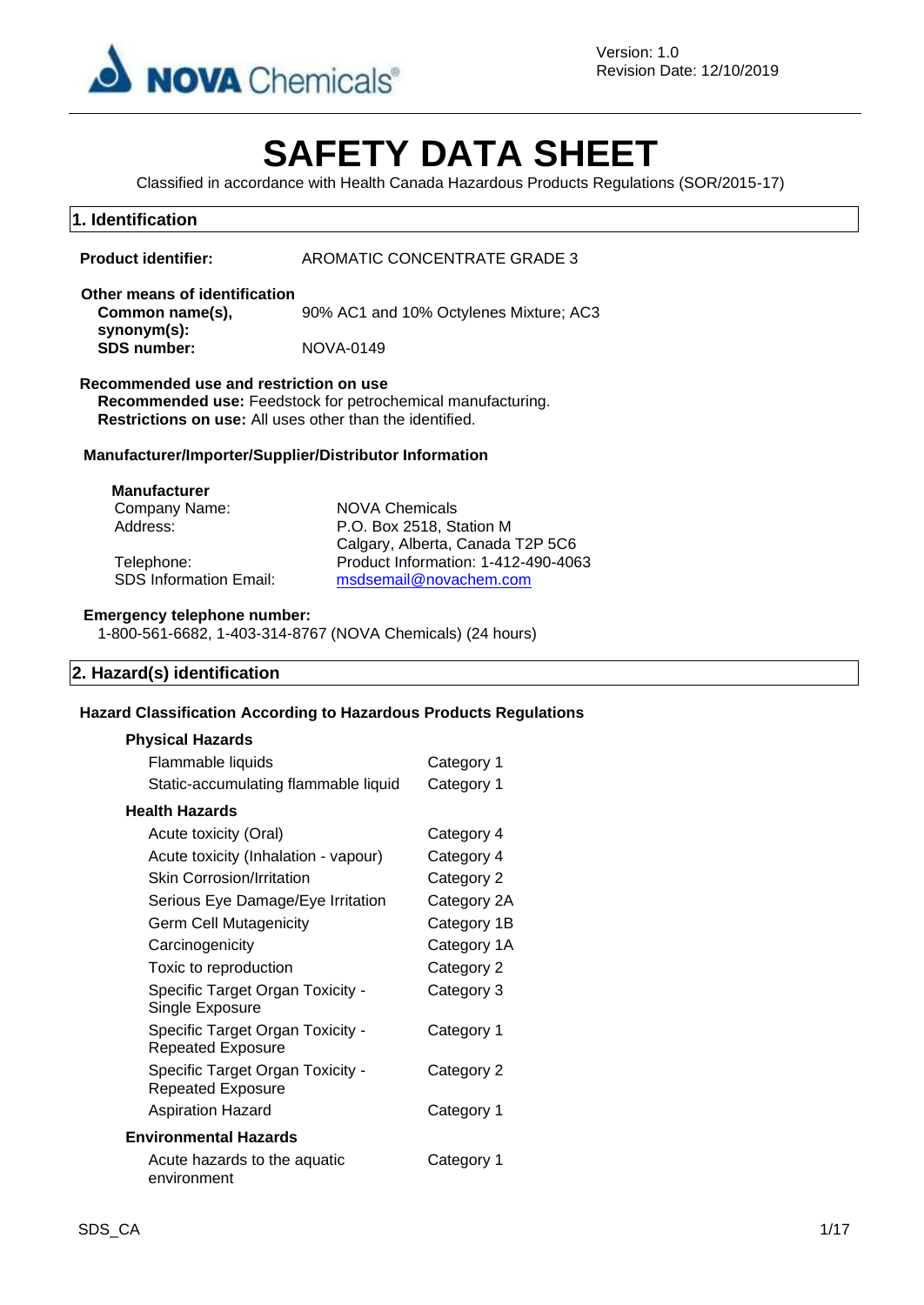

# **SAFETY DATA SHEET**

Classified in accordance with Health Canada Hazardous Products Regulations (SOR/2015-17)

# **1. Identification**

| <b>Product identifier:</b> | AROMATIC CONCENTRATE GRADE 3 |
|----------------------------|------------------------------|
|                            |                              |

#### **Other means of identification Common name(s), synonym(s):** 90% AC1 and 10% Octylenes Mixture; AC3 **SDS number:** NOVA-0149

### **Recommended use and restriction on use**

**Recommended use:** Feedstock for petrochemical manufacturing. **Restrictions on use:** All uses other than the identified.

### **Manufacturer/Importer/Supplier/Distributor Information**

#### **Manufacturer**

Company Name: NOVA Chemicals

Address: P.O. Box 2518, Station M Calgary, Alberta, Canada T2P 5C6 Telephone: Product Information: 1-412-490-4063 SDS Information Email: [msdsemail@novachem.com](mailto:msdsemail@novachem.com)

#### **Emergency telephone number:**

1-800-561-6682, 1-403-314-8767 (NOVA Chemicals) (24 hours)

### **2. Hazard(s) identification**

### **Hazard Classification According to Hazardous Products Regulations**

### **Physical Hazards**

| Flammable liquids                                            | Category 1  |
|--------------------------------------------------------------|-------------|
| Static-accumulating flammable liquid                         | Category 1  |
| Health Hazards                                               |             |
| Acute toxicity (Oral)                                        | Category 4  |
| Acute toxicity (Inhalation - vapour)                         | Category 4  |
| <b>Skin Corrosion/Irritation</b>                             | Category 2  |
| Serious Eye Damage/Eye Irritation                            | Category 2A |
| <b>Germ Cell Mutagenicity</b>                                | Category 1B |
| Carcinogenicity                                              | Category 1A |
| Toxic to reproduction                                        | Category 2  |
| Specific Target Organ Toxicity -<br>Single Exposure          | Category 3  |
| Specific Target Organ Toxicity -<br><b>Repeated Exposure</b> | Category 1  |
| Specific Target Organ Toxicity -<br><b>Repeated Exposure</b> | Category 2  |
| Aspiration Hazard                                            | Category 1  |
| Environmental Hazards                                        |             |
| Acute hazards to the aquatic<br>environment                  | Category 1  |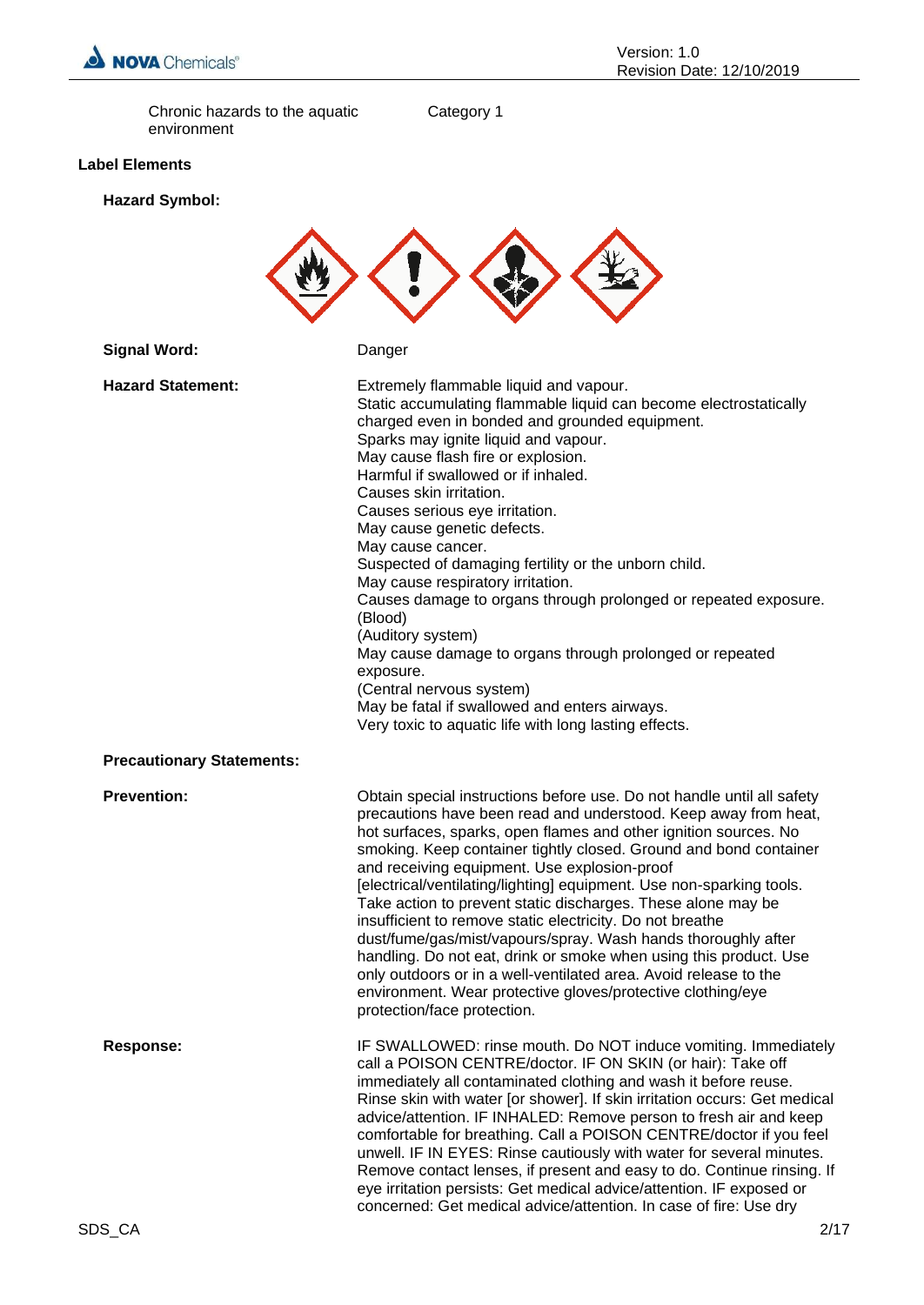

Chronic hazards to the aquatic environment

Category 1

# **Label Elements**

**Hazard Symbol:**

| <b>Signal Word:</b>              | Danger                                                                                                                                                                                                                                                                                                                                                                                                                                                                                                                                                                                                                                                                                                                                                                                                                                          |
|----------------------------------|-------------------------------------------------------------------------------------------------------------------------------------------------------------------------------------------------------------------------------------------------------------------------------------------------------------------------------------------------------------------------------------------------------------------------------------------------------------------------------------------------------------------------------------------------------------------------------------------------------------------------------------------------------------------------------------------------------------------------------------------------------------------------------------------------------------------------------------------------|
| <b>Hazard Statement:</b>         | Extremely flammable liquid and vapour.<br>Static accumulating flammable liquid can become electrostatically<br>charged even in bonded and grounded equipment.<br>Sparks may ignite liquid and vapour.<br>May cause flash fire or explosion.<br>Harmful if swallowed or if inhaled.<br>Causes skin irritation.<br>Causes serious eye irritation.<br>May cause genetic defects.<br>May cause cancer.<br>Suspected of damaging fertility or the unborn child.<br>May cause respiratory irritation.<br>Causes damage to organs through prolonged or repeated exposure.<br>(Blood)<br>(Auditory system)<br>May cause damage to organs through prolonged or repeated<br>exposure.<br>(Central nervous system)<br>May be fatal if swallowed and enters airways.<br>Very toxic to aquatic life with long lasting effects.                               |
| <b>Precautionary Statements:</b> |                                                                                                                                                                                                                                                                                                                                                                                                                                                                                                                                                                                                                                                                                                                                                                                                                                                 |
| <b>Prevention:</b>               | Obtain special instructions before use. Do not handle until all safety<br>precautions have been read and understood. Keep away from heat,<br>hot surfaces, sparks, open flames and other ignition sources. No<br>smoking. Keep container tightly closed. Ground and bond container<br>and receiving equipment. Use explosion-proof<br>[electrical/ventilating/lighting] equipment. Use non-sparking tools.<br>Take action to prevent static discharges. These alone may be<br>insufficient to remove static electricity. Do not breathe<br>dust/fume/gas/mist/vapours/spray. Wash hands thoroughly after<br>handling. Do not eat, drink or smoke when using this product. Use<br>only outdoors or in a well-ventilated area. Avoid release to the<br>environment. Wear protective gloves/protective clothing/eye<br>protection/face protection. |
| <b>Response:</b>                 | IF SWALLOWED: rinse mouth. Do NOT induce vomiting. Immediately<br>call a POISON CENTRE/doctor. IF ON SKIN (or hair): Take off<br>immediately all contaminated clothing and wash it before reuse.<br>Rinse skin with water [or shower]. If skin irritation occurs: Get medical<br>advice/attention. IF INHALED: Remove person to fresh air and keep<br>comfortable for breathing. Call a POISON CENTRE/doctor if you feel<br>unwell. IF IN EYES: Rinse cautiously with water for several minutes.<br>Remove contact lenses, if present and easy to do. Continue rinsing. If<br>eye irritation persists: Get medical advice/attention. IF exposed or<br>concerned: Get medical advice/attention. In case of fire: Use dry                                                                                                                         |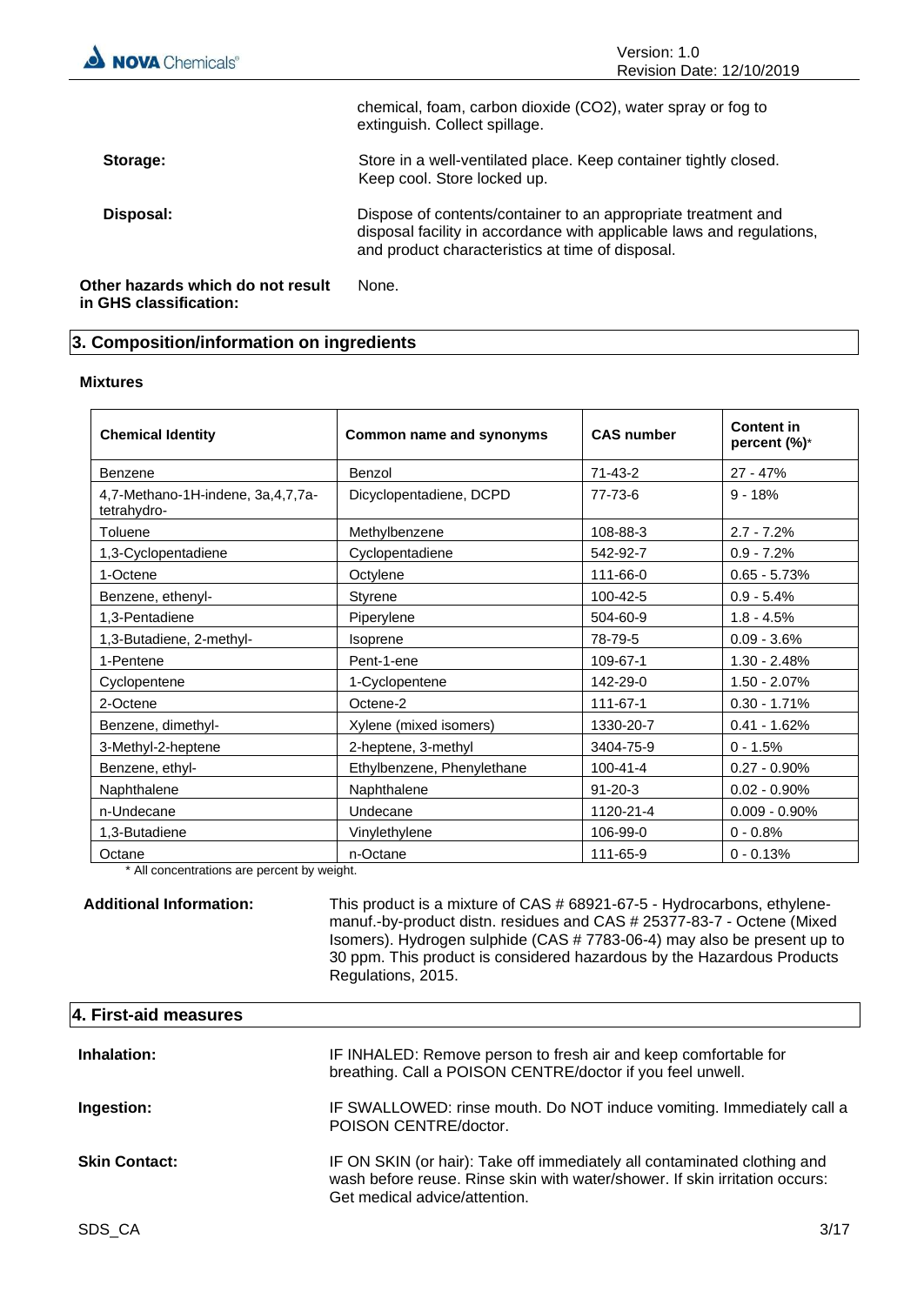| <b>NOVA</b> Chemicals®                                      | Version: 1.0<br>Revision Date: 12/10/2019                                                                                                                                                  |  |  |  |
|-------------------------------------------------------------|--------------------------------------------------------------------------------------------------------------------------------------------------------------------------------------------|--|--|--|
|                                                             | chemical, foam, carbon dioxide (CO2), water spray or fog to<br>extinguish. Collect spillage.                                                                                               |  |  |  |
| Storage:                                                    | Store in a well-ventilated place. Keep container tightly closed.<br>Keep cool. Store locked up.                                                                                            |  |  |  |
| Disposal:                                                   | Dispose of contents/container to an appropriate treatment and<br>disposal facility in accordance with applicable laws and regulations,<br>and product characteristics at time of disposal. |  |  |  |
| Other hazards which do not result<br>in GHS classification: | None.                                                                                                                                                                                      |  |  |  |

# **3. Composition/information on ingredients**

#### **Mixtures**

| <b>Chemical Identity</b>                         | Common name and synonyms   | <b>CAS number</b> | <b>Content in</b><br>percent (%)* |
|--------------------------------------------------|----------------------------|-------------------|-----------------------------------|
| Benzene                                          | Benzol                     | $71 - 43 - 2$     | $27 - 47%$                        |
| 4,7-Methano-1H-indene, 3a,4,7,7a-<br>tetrahydro- | Dicyclopentadiene, DCPD    | 77-73-6           | $9 - 18%$                         |
| Toluene                                          | Methylbenzene              | 108-88-3          | $2.7 - 7.2%$                      |
| 1,3-Cyclopentadiene                              | Cyclopentadiene            | 542-92-7          | $0.9 - 7.2%$                      |
| 1-Octene                                         | Octylene                   | 111-66-0          | $0.65 - 5.73%$                    |
| Benzene, ethenyl-                                | <b>Styrene</b>             | 100-42-5          | $0.9 - 5.4%$                      |
| 1,3-Pentadiene                                   | Piperylene                 | 504-60-9          | $1.8 - 4.5%$                      |
| 1,3-Butadiene, 2-methyl-                         | Isoprene                   | 78-79-5           | $0.09 - 3.6%$                     |
| 1-Pentene                                        | Pent-1-ene                 | 109-67-1          | $1.30 - 2.48%$                    |
| Cyclopentene                                     | 1-Cyclopentene             | 142-29-0          | $1.50 - 2.07%$                    |
| 2-Octene                                         | Octene-2                   | 111-67-1          | $0.30 - 1.71%$                    |
| Benzene, dimethyl-                               | Xylene (mixed isomers)     | 1330-20-7         | $0.41 - 1.62%$                    |
| 3-Methyl-2-heptene                               | 2-heptene, 3-methyl        | 3404-75-9         | $0 - 1.5%$                        |
| Benzene, ethyl-                                  | Ethylbenzene, Phenylethane | 100-41-4          | $0.27 - 0.90\%$                   |
| Naphthalene                                      | Naphthalene                | $91 - 20 - 3$     | $0.02 - 0.90\%$                   |
| n-Undecane                                       | Undecane                   | 1120-21-4         | $0.009 - 0.90\%$                  |
| 1,3-Butadiene                                    | Vinylethylene              | 106-99-0          | $0 - 0.8%$                        |
| Octane                                           | n-Octane                   | 111-65-9          | $0 - 0.13%$                       |

\* All concentrations are percent by weight.

**Additional Information:** This product is a mixture of CAS # 68921-67-5 - Hydrocarbons, ethylenemanuf.-by-product distn. residues and CAS # 25377-83-7 - Octene (Mixed Isomers). Hydrogen sulphide (CAS # 7783-06-4) may also be present up to 30 ppm. This product is considered hazardous by the Hazardous Products Regulations, 2015.

| 4. First-aid measures |                                                                                                                                                                                          |
|-----------------------|------------------------------------------------------------------------------------------------------------------------------------------------------------------------------------------|
| Inhalation:           | IF INHALED: Remove person to fresh air and keep comfortable for<br>breathing. Call a POISON CENTRE/doctor if you feel unwell.                                                            |
| Ingestion:            | IF SWALLOWED: rinse mouth. Do NOT induce vomiting. Immediately call a<br>POISON CENTRE/doctor.                                                                                           |
| <b>Skin Contact:</b>  | IF ON SKIN (or hair): Take off immediately all contaminated clothing and<br>wash before reuse. Rinse skin with water/shower. If skin irritation occurs:<br>Get medical advice/attention. |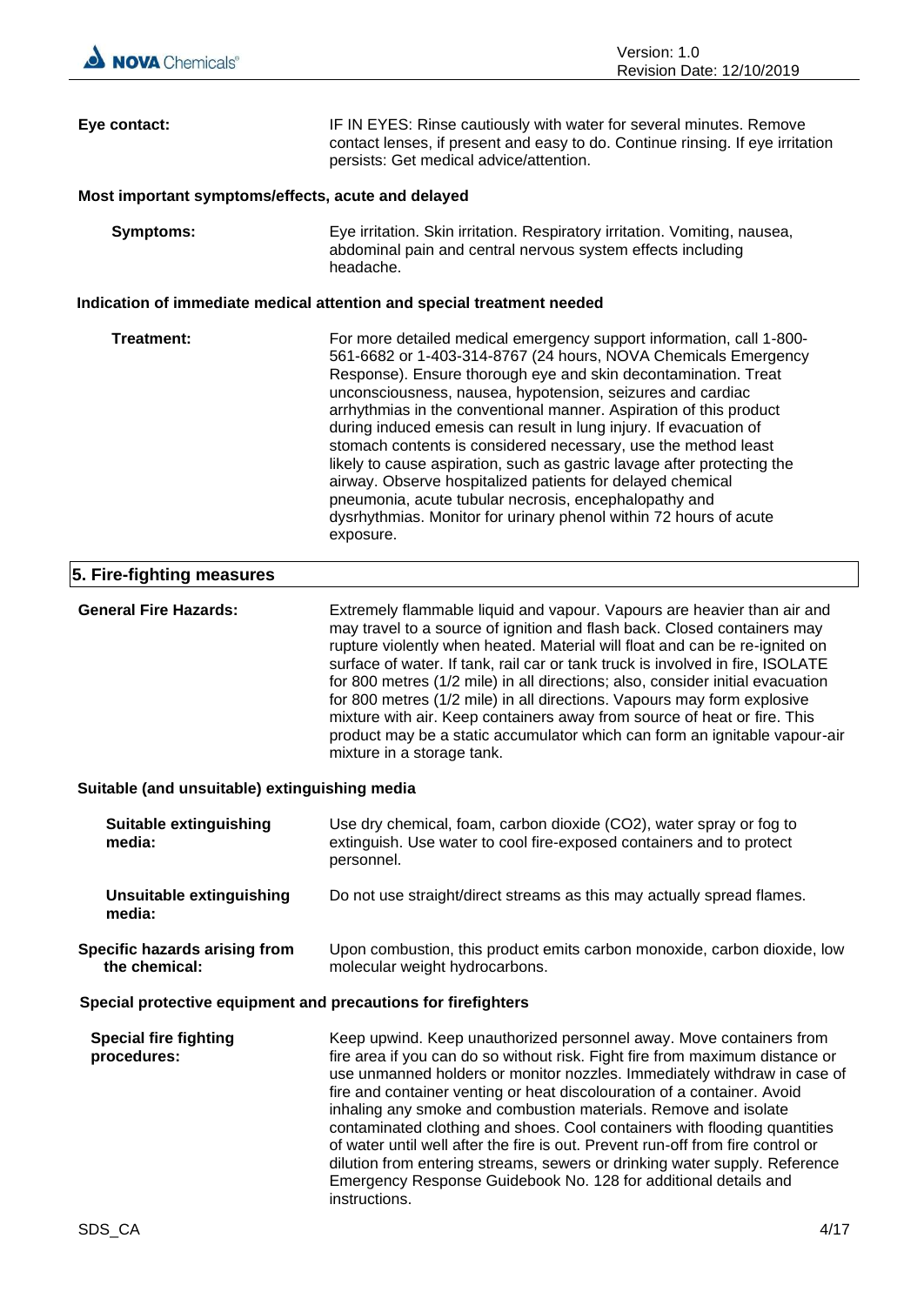| Eye contact:                                                  | IF IN EYES: Rinse cautiously with water for several minutes. Remove<br>contact lenses, if present and easy to do. Continue rinsing. If eye irritation<br>persists: Get medical advice/attention.                                                                                                                                                                                                                                                                                                                                                                                                                                                                                                                                                                        |  |  |
|---------------------------------------------------------------|-------------------------------------------------------------------------------------------------------------------------------------------------------------------------------------------------------------------------------------------------------------------------------------------------------------------------------------------------------------------------------------------------------------------------------------------------------------------------------------------------------------------------------------------------------------------------------------------------------------------------------------------------------------------------------------------------------------------------------------------------------------------------|--|--|
| Most important symptoms/effects, acute and delayed            |                                                                                                                                                                                                                                                                                                                                                                                                                                                                                                                                                                                                                                                                                                                                                                         |  |  |
| <b>Symptoms:</b>                                              | Eye irritation. Skin irritation. Respiratory irritation. Vomiting, nausea,<br>abdominal pain and central nervous system effects including<br>headache.                                                                                                                                                                                                                                                                                                                                                                                                                                                                                                                                                                                                                  |  |  |
|                                                               | Indication of immediate medical attention and special treatment needed                                                                                                                                                                                                                                                                                                                                                                                                                                                                                                                                                                                                                                                                                                  |  |  |
| Treatment:                                                    | For more detailed medical emergency support information, call 1-800-<br>561-6682 or 1-403-314-8767 (24 hours, NOVA Chemicals Emergency<br>Response). Ensure thorough eye and skin decontamination. Treat<br>unconsciousness, nausea, hypotension, seizures and cardiac<br>arrhythmias in the conventional manner. Aspiration of this product<br>during induced emesis can result in lung injury. If evacuation of<br>stomach contents is considered necessary, use the method least<br>likely to cause aspiration, such as gastric lavage after protecting the<br>airway. Observe hospitalized patients for delayed chemical<br>pneumonia, acute tubular necrosis, encephalopathy and<br>dysrhythmias. Monitor for urinary phenol within 72 hours of acute<br>exposure. |  |  |
| 5. Fire-fighting measures                                     |                                                                                                                                                                                                                                                                                                                                                                                                                                                                                                                                                                                                                                                                                                                                                                         |  |  |
| <b>General Fire Hazards:</b>                                  | Extremely flammable liquid and vapour. Vapours are heavier than air and<br>may travel to a source of ignition and flash back. Closed containers may<br>rupture violently when heated. Material will float and can be re-ignited on<br>surface of water. If tank, rail car or tank truck is involved in fire, ISOLATE<br>for 800 metres (1/2 mile) in all directions; also, consider initial evacuation<br>for 800 metres (1/2 mile) in all directions. Vapours may form explosive<br>mixture with air. Keep containers away from source of heat or fire. This<br>product may be a static accumulator which can form an ignitable vapour-air<br>mixture in a storage tank.                                                                                               |  |  |
| Suitable (and unsuitable) extinguishing media                 |                                                                                                                                                                                                                                                                                                                                                                                                                                                                                                                                                                                                                                                                                                                                                                         |  |  |
| Suitable extinguishing<br>media:                              | Use dry chemical, foam, carbon dioxide (CO2), water spray or fog to<br>extinguish. Use water to cool fire-exposed containers and to protect<br>personnel.                                                                                                                                                                                                                                                                                                                                                                                                                                                                                                                                                                                                               |  |  |
| <b>Unsuitable extinguishing</b><br>media:                     | Do not use straight/direct streams as this may actually spread flames.                                                                                                                                                                                                                                                                                                                                                                                                                                                                                                                                                                                                                                                                                                  |  |  |
| Specific hazards arising from<br>the chemical:                | Upon combustion, this product emits carbon monoxide, carbon dioxide, low<br>molecular weight hydrocarbons.                                                                                                                                                                                                                                                                                                                                                                                                                                                                                                                                                                                                                                                              |  |  |
| Special protective equipment and precautions for firefighters |                                                                                                                                                                                                                                                                                                                                                                                                                                                                                                                                                                                                                                                                                                                                                                         |  |  |
| <b>Special fire fighting</b><br>procedures:                   | Keep upwind. Keep unauthorized personnel away. Move containers from<br>fire area if you can do so without risk. Fight fire from maximum distance or<br>use unmanned holders or monitor nozzles. Immediately withdraw in case of<br>fire and container venting or heat discolouration of a container. Avoid<br>inhaling any smoke and combustion materials. Remove and isolate<br>contaminated clothing and shoes. Cool containers with flooding quantities<br>of water until well after the fire is out. Prevent run-off from fire control or<br>dilution from entering streams, sewers or drinking water supply. Reference<br>Emergency Response Guidebook No. 128 for additional details and<br>instructions.                                                         |  |  |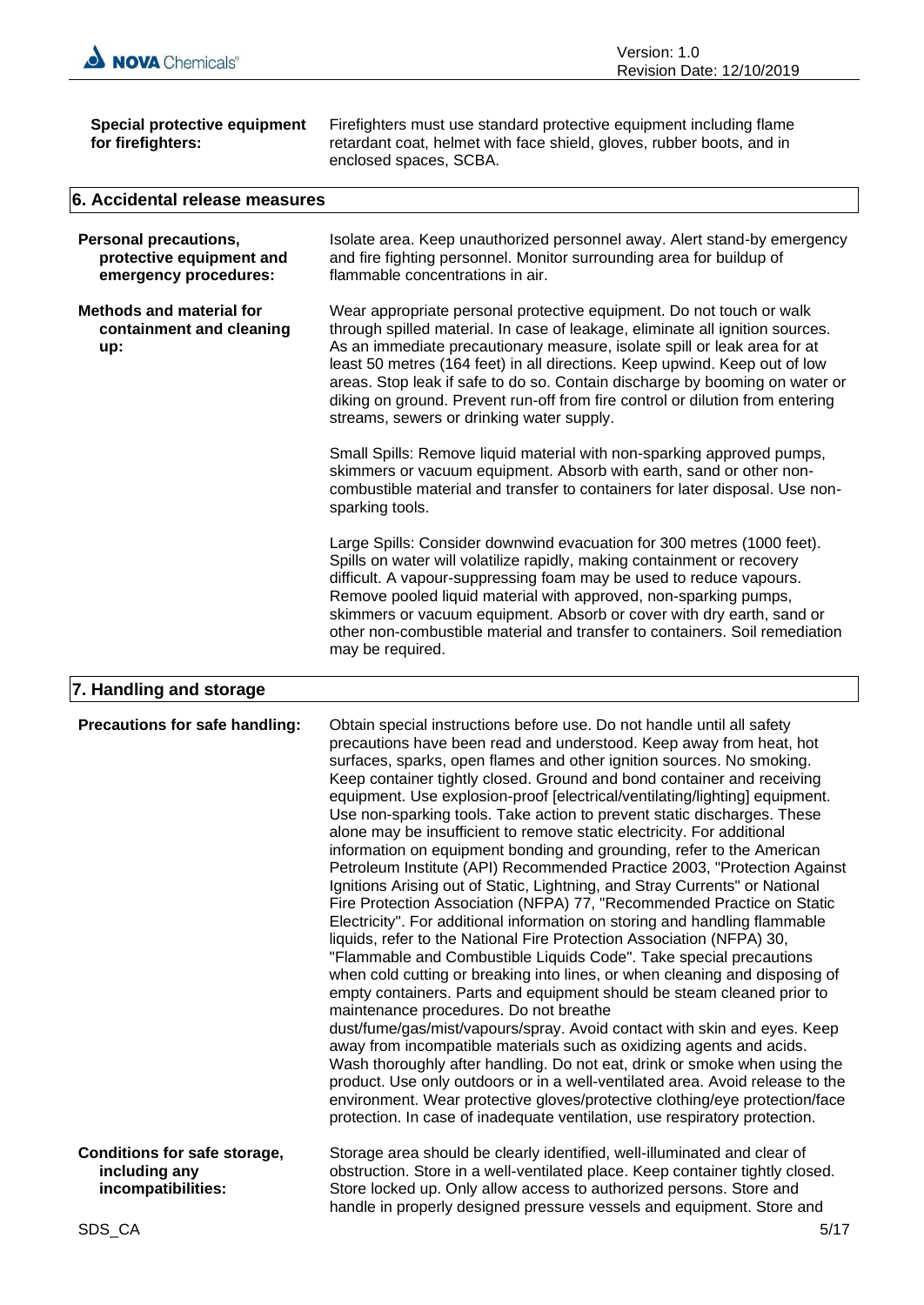

| Special protective equipment<br>for firefighters:                                 | Firefighters must use standard protective equipment including flame<br>retardant coat, helmet with face shield, gloves, rubber boots, and in<br>enclosed spaces, SCBA.                                                                                                                                                                                                                                                                                                                                                       |
|-----------------------------------------------------------------------------------|------------------------------------------------------------------------------------------------------------------------------------------------------------------------------------------------------------------------------------------------------------------------------------------------------------------------------------------------------------------------------------------------------------------------------------------------------------------------------------------------------------------------------|
| 6. Accidental release measures                                                    |                                                                                                                                                                                                                                                                                                                                                                                                                                                                                                                              |
| <b>Personal precautions,</b><br>protective equipment and<br>emergency procedures: | Isolate area. Keep unauthorized personnel away. Alert stand-by emergency<br>and fire fighting personnel. Monitor surrounding area for buildup of<br>flammable concentrations in air.                                                                                                                                                                                                                                                                                                                                         |
| <b>Methods and material for</b><br>containment and cleaning<br>up:                | Wear appropriate personal protective equipment. Do not touch or walk<br>through spilled material. In case of leakage, eliminate all ignition sources.<br>As an immediate precautionary measure, isolate spill or leak area for at<br>least 50 metres (164 feet) in all directions. Keep upwind. Keep out of low<br>areas. Stop leak if safe to do so. Contain discharge by booming on water or<br>diking on ground. Prevent run-off from fire control or dilution from entering<br>streams, sewers or drinking water supply. |
|                                                                                   | Small Spills: Remove liquid material with non-sparking approved pumps,<br>skimmers or vacuum equipment. Absorb with earth, sand or other non-<br>combustible material and transfer to containers for later disposal. Use non-<br>sparking tools.                                                                                                                                                                                                                                                                             |
|                                                                                   | Large Spills: Consider downwind evacuation for 300 metres (1000 feet).<br>Spills on water will volatilize rapidly, making containment or recovery<br>difficult. A vapour-suppressing foam may be used to reduce vapours.<br>Remove pooled liquid material with approved, non-sparking pumps,<br>skimmers or vacuum equipment. Absorb or cover with dry earth, sand or<br>other non-combustible material and transfer to containers. Soil remediation<br>may be required.                                                     |
| 7. Handling and storage                                                           |                                                                                                                                                                                                                                                                                                                                                                                                                                                                                                                              |

| Precautions for safe handling:                                             | Obtain special instructions before use. Do not handle until all safety<br>precautions have been read and understood. Keep away from heat, hot<br>surfaces, sparks, open flames and other ignition sources. No smoking.<br>Keep container tightly closed. Ground and bond container and receiving<br>equipment. Use explosion-proof [electrical/ventilating/lighting] equipment.<br>Use non-sparking tools. Take action to prevent static discharges. These<br>alone may be insufficient to remove static electricity. For additional<br>information on equipment bonding and grounding, refer to the American<br>Petroleum Institute (API) Recommended Practice 2003, "Protection Against<br>Ignitions Arising out of Static, Lightning, and Stray Currents" or National<br>Fire Protection Association (NFPA) 77, "Recommended Practice on Static<br>Electricity". For additional information on storing and handling flammable<br>liquids, refer to the National Fire Protection Association (NFPA) 30,<br>"Flammable and Combustible Liquids Code". Take special precautions<br>when cold cutting or breaking into lines, or when cleaning and disposing of<br>empty containers. Parts and equipment should be steam cleaned prior to<br>maintenance procedures. Do not breathe<br>dust/fume/gas/mist/vapours/spray. Avoid contact with skin and eyes. Keep<br>away from incompatible materials such as oxidizing agents and acids.<br>Wash thoroughly after handling. Do not eat, drink or smoke when using the<br>product. Use only outdoors or in a well-ventilated area. Avoid release to the<br>environment. Wear protective gloves/protective clothing/eye protection/face<br>protection. In case of inadequate ventilation, use respiratory protection. |
|----------------------------------------------------------------------------|-------------------------------------------------------------------------------------------------------------------------------------------------------------------------------------------------------------------------------------------------------------------------------------------------------------------------------------------------------------------------------------------------------------------------------------------------------------------------------------------------------------------------------------------------------------------------------------------------------------------------------------------------------------------------------------------------------------------------------------------------------------------------------------------------------------------------------------------------------------------------------------------------------------------------------------------------------------------------------------------------------------------------------------------------------------------------------------------------------------------------------------------------------------------------------------------------------------------------------------------------------------------------------------------------------------------------------------------------------------------------------------------------------------------------------------------------------------------------------------------------------------------------------------------------------------------------------------------------------------------------------------------------------------------------------------------------------------------------------------------------------------------|
| <b>Conditions for safe storage,</b><br>including any<br>incompatibilities: | Storage area should be clearly identified, well-illuminated and clear of<br>obstruction. Store in a well-ventilated place. Keep container tightly closed.<br>Store locked up. Only allow access to authorized persons. Store and<br>handle in properly designed pressure vessels and equipment. Store and                                                                                                                                                                                                                                                                                                                                                                                                                                                                                                                                                                                                                                                                                                                                                                                                                                                                                                                                                                                                                                                                                                                                                                                                                                                                                                                                                                                                                                                         |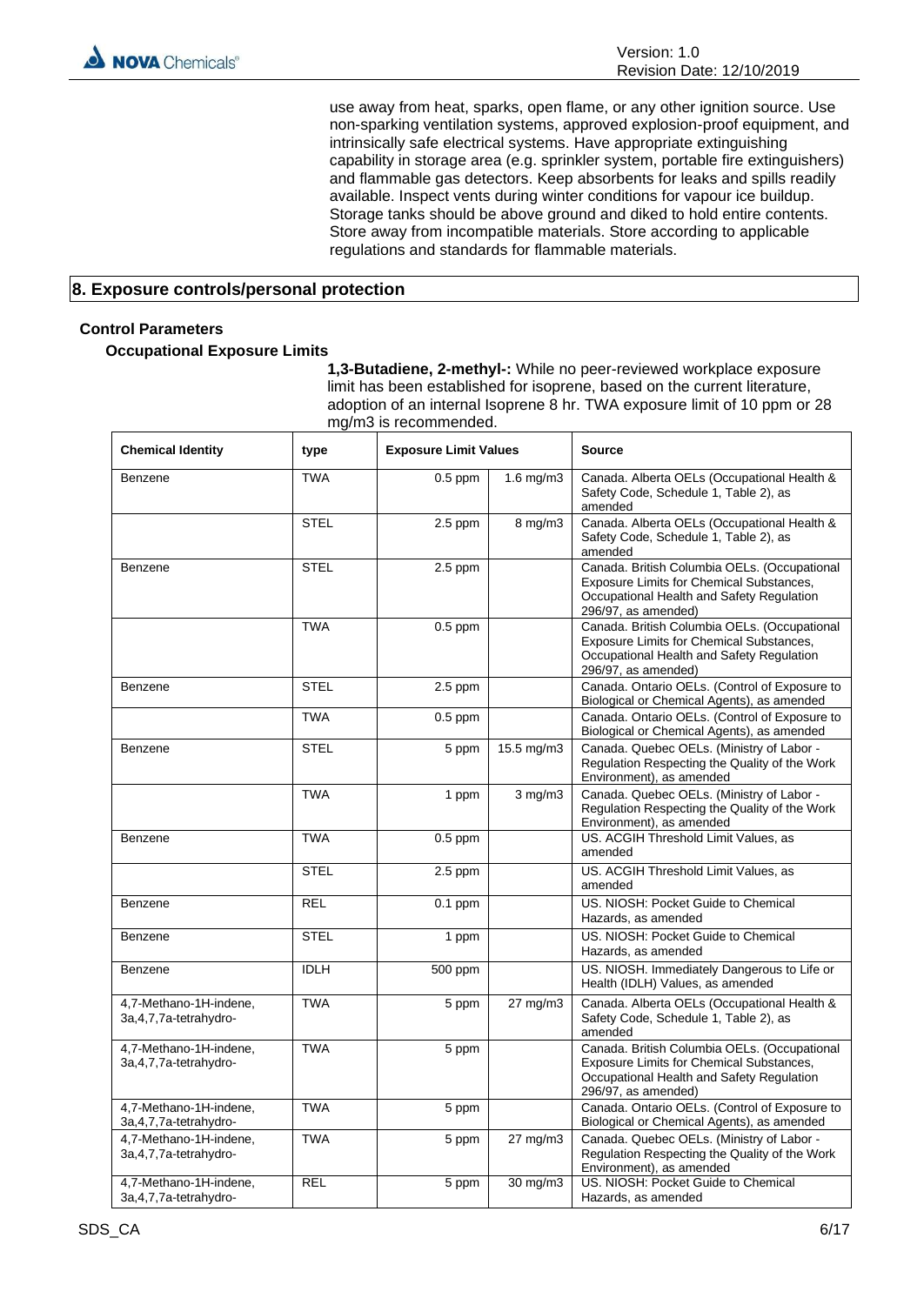use away from heat, sparks, open flame, or any other ignition source. Use non-sparking ventilation systems, approved explosion-proof equipment, and intrinsically safe electrical systems. Have appropriate extinguishing capability in storage area (e.g. sprinkler system, portable fire extinguishers) and flammable gas detectors. Keep absorbents for leaks and spills readily available. Inspect vents during winter conditions for vapour ice buildup. Storage tanks should be above ground and diked to hold entire contents. Store away from incompatible materials. Store according to applicable regulations and standards for flammable materials.

# **8. Exposure controls/personal protection**

# **Control Parameters**

**Occupational Exposure Limits**

**1,3-Butadiene, 2-methyl-:** While no peer-reviewed workplace exposure limit has been established for isoprene, based on the current literature, adoption of an internal Isoprene 8 hr. TWA exposure limit of 10 ppm or 28 mg/m3 is recommended.

| <b>Chemical Identity</b>                           | type        | <b>Exposure Limit Values</b> |                     | Source                                                                                                                                                          |
|----------------------------------------------------|-------------|------------------------------|---------------------|-----------------------------------------------------------------------------------------------------------------------------------------------------------------|
| Benzene                                            | <b>TWA</b>  | $0.5$ ppm                    | $1.6$ mg/m $3$      | Canada. Alberta OELs (Occupational Health &<br>Safety Code, Schedule 1, Table 2), as<br>amended                                                                 |
|                                                    | <b>STEL</b> | $2.5$ ppm                    | $8$ mg/m $3$        | Canada. Alberta OELs (Occupational Health &<br>Safety Code, Schedule 1, Table 2), as<br>amended                                                                 |
| Benzene                                            | <b>STEL</b> | $2.5$ ppm                    |                     | Canada. British Columbia OELs. (Occupational<br>Exposure Limits for Chemical Substances,<br>Occupational Health and Safety Regulation<br>296/97, as amended)    |
|                                                    | <b>TWA</b>  | $0.5$ ppm                    |                     | Canada. British Columbia OELs. (Occupational<br>Exposure Limits for Chemical Substances,<br>Occupational Health and Safety Regulation<br>$296/97$ , as amended) |
| Benzene                                            | <b>STEL</b> | $2.5$ ppm                    |                     | Canada. Ontario OELs. (Control of Exposure to<br>Biological or Chemical Agents), as amended                                                                     |
|                                                    | <b>TWA</b>  | $0.5$ ppm                    |                     | Canada. Ontario OELs. (Control of Exposure to<br>Biological or Chemical Agents), as amended                                                                     |
| Benzene                                            | <b>STEL</b> | 5 ppm                        | 15.5 mg/m3          | Canada. Quebec OELs. (Ministry of Labor -<br>Regulation Respecting the Quality of the Work<br>Environment), as amended                                          |
|                                                    | <b>TWA</b>  | 1 ppm                        | $3$ mg/m $3$        | Canada. Quebec OELs. (Ministry of Labor -<br>Regulation Respecting the Quality of the Work<br>Environment), as amended                                          |
| Benzene                                            | <b>TWA</b>  | $0.5$ ppm                    |                     | US. ACGIH Threshold Limit Values, as<br>amended                                                                                                                 |
|                                                    | <b>STEL</b> | $2.5$ ppm                    |                     | US. ACGIH Threshold Limit Values, as<br>amended                                                                                                                 |
| Benzene                                            | <b>REL</b>  | $0.1$ ppm                    |                     | US. NIOSH: Pocket Guide to Chemical<br>Hazards, as amended                                                                                                      |
| Benzene                                            | <b>STEL</b> | 1 ppm                        |                     | US. NIOSH: Pocket Guide to Chemical<br>Hazards, as amended                                                                                                      |
| Benzene                                            | <b>IDLH</b> | 500 ppm                      |                     | US. NIOSH. Immediately Dangerous to Life or<br>Health (IDLH) Values, as amended                                                                                 |
| 4,7-Methano-1H-indene,<br>3a, 4, 7, 7a-tetrahydro- | <b>TWA</b>  | 5 ppm                        | 27 mg/m3            | Canada. Alberta OELs (Occupational Health &<br>Safety Code, Schedule 1, Table 2), as<br>amended                                                                 |
| 4,7-Methano-1H-indene,<br>3a, 4, 7, 7a-tetrahydro- | <b>TWA</b>  | 5 ppm                        |                     | Canada. British Columbia OELs. (Occupational<br>Exposure Limits for Chemical Substances,<br>Occupational Health and Safety Regulation<br>$296/97$ , as amended) |
| 4,7-Methano-1H-indene,<br>3a, 4, 7, 7a-tetrahydro- | <b>TWA</b>  | 5 ppm                        |                     | Canada. Ontario OELs. (Control of Exposure to<br>Biological or Chemical Agents), as amended                                                                     |
| 4,7-Methano-1H-indene,<br>3a, 4, 7, 7a-tetrahydro- | <b>TWA</b>  | 5 ppm                        | $27 \text{ mg/m}$ 3 | Canada. Quebec OELs. (Ministry of Labor -<br>Regulation Respecting the Quality of the Work<br>Environment), as amended                                          |
| 4,7-Methano-1H-indene,<br>3a, 4, 7, 7a-tetrahydro- | <b>REL</b>  | 5 ppm                        | 30 mg/m3            | US. NIOSH: Pocket Guide to Chemical<br>Hazards, as amended                                                                                                      |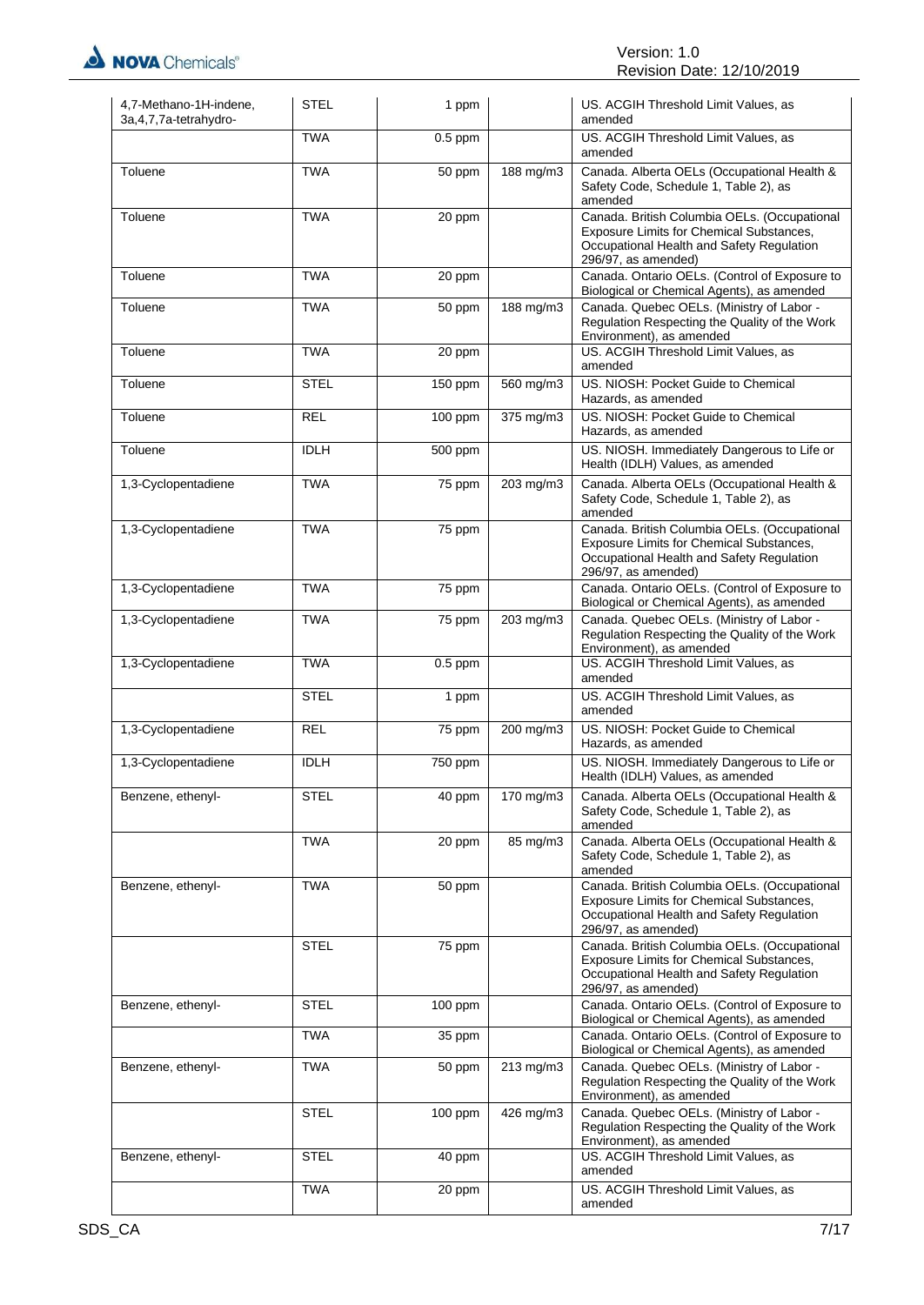

| 4,7-Methano-1H-indene,<br>3a, 4, 7, 7a-tetrahydro- | <b>STEL</b> | 1 ppm     |           | US. ACGIH Threshold Limit Values, as<br>amended                                                                                                              |
|----------------------------------------------------|-------------|-----------|-----------|--------------------------------------------------------------------------------------------------------------------------------------------------------------|
|                                                    | <b>TWA</b>  | $0.5$ ppm |           | US. ACGIH Threshold Limit Values, as<br>amended                                                                                                              |
| Toluene                                            | <b>TWA</b>  | 50 ppm    | 188 mg/m3 | Canada. Alberta OELs (Occupational Health &<br>Safety Code, Schedule 1, Table 2), as<br>amended                                                              |
| Toluene                                            | <b>TWA</b>  | 20 ppm    |           | Canada. British Columbia OELs. (Occupational<br>Exposure Limits for Chemical Substances,<br>Occupational Health and Safety Regulation<br>296/97, as amended) |
| Toluene                                            | <b>TWA</b>  | 20 ppm    |           | Canada. Ontario OELs. (Control of Exposure to<br>Biological or Chemical Agents), as amended                                                                  |
| Toluene                                            | <b>TWA</b>  | 50 ppm    | 188 mg/m3 | Canada. Quebec OELs. (Ministry of Labor -<br>Regulation Respecting the Quality of the Work<br>Environment), as amended                                       |
| Toluene                                            | <b>TWA</b>  | 20 ppm    |           | US. ACGIH Threshold Limit Values, as<br>amended                                                                                                              |
| Toluene                                            | <b>STEL</b> | 150 ppm   | 560 mg/m3 | US. NIOSH: Pocket Guide to Chemical<br>Hazards, as amended                                                                                                   |
| Toluene                                            | <b>REL</b>  | 100 ppm   | 375 mg/m3 | US. NIOSH: Pocket Guide to Chemical<br>Hazards, as amended                                                                                                   |
| Toluene                                            | <b>IDLH</b> | 500 ppm   |           | US. NIOSH. Immediately Dangerous to Life or<br>Health (IDLH) Values, as amended                                                                              |
| 1,3-Cyclopentadiene                                | <b>TWA</b>  | 75 ppm    | 203 mg/m3 | Canada. Alberta OELs (Occupational Health &<br>Safety Code, Schedule 1, Table 2), as<br>amended                                                              |
| 1,3-Cyclopentadiene                                | <b>TWA</b>  | 75 ppm    |           | Canada. British Columbia OELs. (Occupational<br>Exposure Limits for Chemical Substances,<br>Occupational Health and Safety Regulation<br>296/97, as amended) |
| 1,3-Cyclopentadiene                                | <b>TWA</b>  | 75 ppm    |           | Canada. Ontario OELs. (Control of Exposure to<br>Biological or Chemical Agents), as amended                                                                  |
| 1,3-Cyclopentadiene                                | <b>TWA</b>  | 75 ppm    | 203 mg/m3 | Canada. Quebec OELs. (Ministry of Labor -<br>Regulation Respecting the Quality of the Work<br>Environment), as amended                                       |
| 1,3-Cyclopentadiene                                | <b>TWA</b>  | $0.5$ ppm |           | US. ACGIH Threshold Limit Values, as<br>amended                                                                                                              |
|                                                    | <b>STEL</b> | 1 ppm     |           | US. ACGIH Threshold Limit Values, as<br>amended                                                                                                              |
| 1,3-Cyclopentadiene                                | <b>REL</b>  | 75 ppm    | 200 mg/m3 | US. NIOSH: Pocket Guide to Chemical<br>Hazards, as amended                                                                                                   |
| 1,3-Cyclopentadiene                                | <b>IDLH</b> | 750 ppm   |           | US. NIOSH. Immediately Dangerous to Life or<br>Health (IDLH) Values, as amended                                                                              |
| Benzene, ethenyl-                                  | STEL        | 40 ppm    | 170 mg/m3 | Canada. Alberta OELs (Occupational Health &<br>Safety Code, Schedule 1, Table 2), as<br>amended                                                              |
|                                                    | <b>TWA</b>  | 20 ppm    | 85 mg/m3  | Canada. Alberta OELs (Occupational Health &<br>Safety Code, Schedule 1, Table 2), as<br>amended                                                              |
| Benzene, ethenyl-                                  | <b>TWA</b>  | 50 ppm    |           | Canada. British Columbia OELs. (Occupational<br>Exposure Limits for Chemical Substances,<br>Occupational Health and Safety Regulation<br>296/97, as amended) |
|                                                    | <b>STEL</b> | 75 ppm    |           | Canada. British Columbia OELs. (Occupational<br>Exposure Limits for Chemical Substances,<br>Occupational Health and Safety Regulation<br>296/97, as amended) |
| Benzene, ethenyl-                                  | <b>STEL</b> | 100 ppm   |           | Canada. Ontario OELs. (Control of Exposure to<br>Biological or Chemical Agents), as amended                                                                  |
|                                                    | <b>TWA</b>  | 35 ppm    |           | Canada. Ontario OELs. (Control of Exposure to<br>Biological or Chemical Agents), as amended                                                                  |
| Benzene, ethenyl-                                  | TWA         | 50 ppm    | 213 mg/m3 | Canada. Quebec OELs. (Ministry of Labor -<br>Regulation Respecting the Quality of the Work<br>Environment), as amended                                       |
|                                                    | STEL        | 100 ppm   | 426 mg/m3 | Canada. Quebec OELs. (Ministry of Labor -<br>Regulation Respecting the Quality of the Work<br>Environment), as amended                                       |
| Benzene, ethenyl-                                  | <b>STEL</b> | 40 ppm    |           | US. ACGIH Threshold Limit Values, as<br>amended                                                                                                              |
|                                                    | <b>TWA</b>  | 20 ppm    |           | US. ACGIH Threshold Limit Values, as<br>amended                                                                                                              |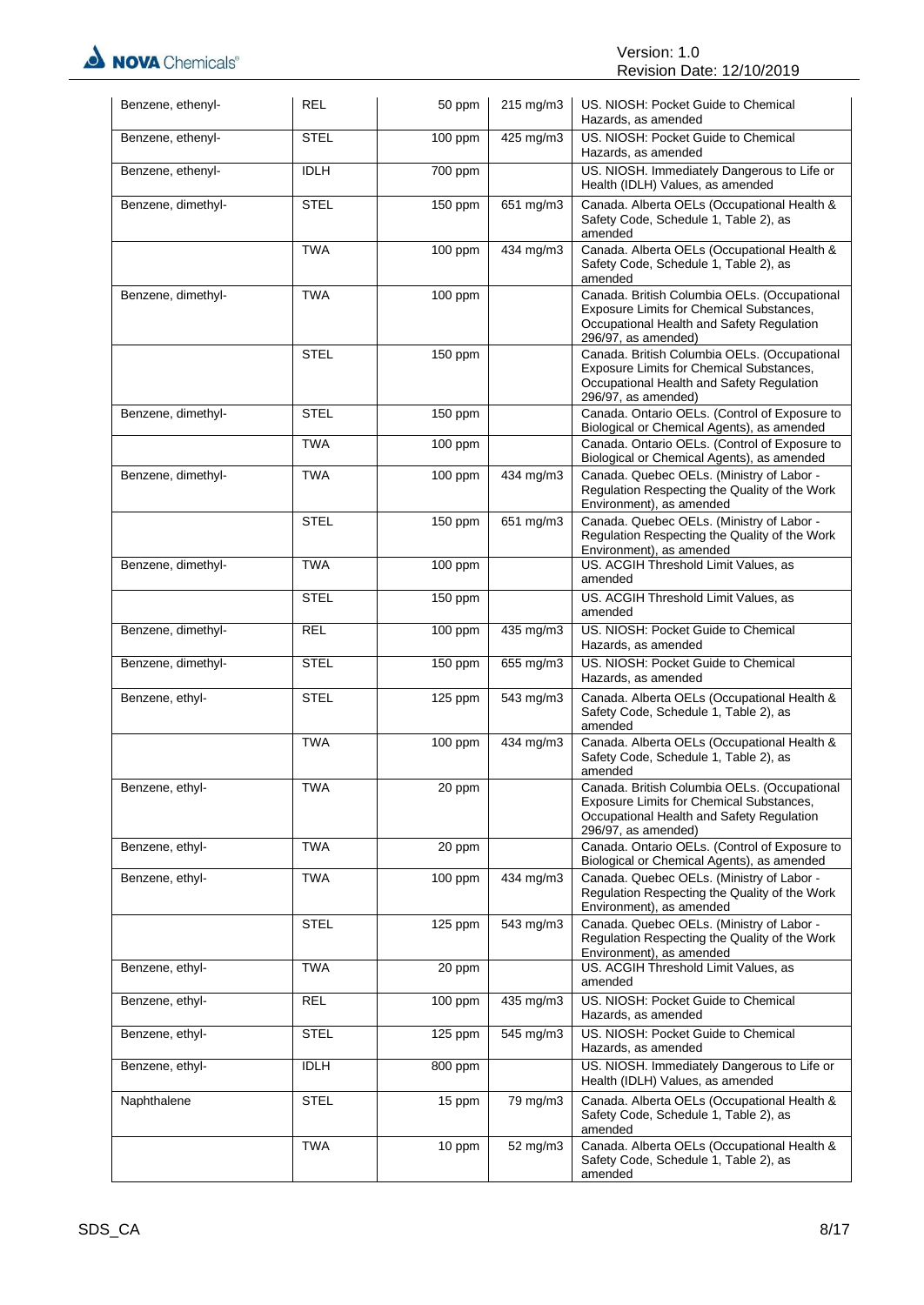| Benzene, ethenyl-  | <b>REL</b>  | 50 ppm    | 215 mg/m3 | US. NIOSH: Pocket Guide to Chemical<br>Hazards, as amended                                                                                                   |
|--------------------|-------------|-----------|-----------|--------------------------------------------------------------------------------------------------------------------------------------------------------------|
| Benzene, ethenyl-  | <b>STEL</b> | 100 ppm   | 425 mg/m3 | US. NIOSH: Pocket Guide to Chemical<br>Hazards, as amended                                                                                                   |
| Benzene, ethenyl-  | <b>IDLH</b> | 700 ppm   |           | US. NIOSH. Immediately Dangerous to Life or<br>Health (IDLH) Values, as amended                                                                              |
| Benzene, dimethyl- | <b>STEL</b> | 150 ppm   | 651 mg/m3 | Canada. Alberta OELs (Occupational Health &<br>Safety Code, Schedule 1, Table 2), as<br>amended                                                              |
|                    | <b>TWA</b>  | $100$ ppm | 434 mg/m3 | Canada. Alberta OELs (Occupational Health &<br>Safety Code, Schedule 1, Table 2), as<br>amended                                                              |
| Benzene, dimethyl- | <b>TWA</b>  | 100 ppm   |           | Canada. British Columbia OELs. (Occupational<br>Exposure Limits for Chemical Substances,<br>Occupational Health and Safety Regulation<br>296/97, as amended) |
|                    | <b>STEL</b> | 150 ppm   |           | Canada. British Columbia OELs. (Occupational<br>Exposure Limits for Chemical Substances,<br>Occupational Health and Safety Regulation<br>296/97, as amended) |
| Benzene, dimethyl- | <b>STEL</b> | 150 ppm   |           | Canada. Ontario OELs. (Control of Exposure to<br>Biological or Chemical Agents), as amended                                                                  |
|                    | <b>TWA</b>  | 100 ppm   |           | Canada. Ontario OELs. (Control of Exposure to<br>Biological or Chemical Agents), as amended                                                                  |
| Benzene, dimethyl- | <b>TWA</b>  | $100$ ppm | 434 mg/m3 | Canada. Quebec OELs. (Ministry of Labor -<br>Regulation Respecting the Quality of the Work<br>Environment), as amended                                       |
|                    | <b>STEL</b> | $150$ ppm | 651 mg/m3 | Canada. Quebec OELs. (Ministry of Labor -<br>Regulation Respecting the Quality of the Work<br>Environment), as amended                                       |
| Benzene, dimethyl- | <b>TWA</b>  | 100 ppm   |           | US. ACGIH Threshold Limit Values, as<br>amended                                                                                                              |
|                    | <b>STEL</b> | 150 ppm   |           | US. ACGIH Threshold Limit Values, as<br>amended                                                                                                              |
| Benzene, dimethyl- | <b>REL</b>  | 100 ppm   | 435 mg/m3 | US. NIOSH: Pocket Guide to Chemical<br>Hazards, as amended                                                                                                   |
| Benzene, dimethyl- | <b>STEL</b> | 150 ppm   | 655 mg/m3 | US. NIOSH: Pocket Guide to Chemical<br>Hazards, as amended                                                                                                   |
| Benzene, ethyl-    | <b>STEL</b> | 125 ppm   | 543 mg/m3 | Canada. Alberta OELs (Occupational Health &<br>Safety Code, Schedule 1, Table 2), as<br>amended                                                              |
|                    | <b>TWA</b>  | 100 ppm   | 434 mg/m3 | Canada. Alberta OELs (Occupational Health &<br>Safety Code, Schedule 1, Table 2), as<br>amended                                                              |
| Benzene, ethyl-    | TWA         | 20 ppm    |           | Canada. British Columbia OELs. (Occupational<br>Exposure Limits for Chemical Substances,<br>Occupational Health and Safety Regulation<br>296/97, as amended) |
| Benzene, ethyl-    | <b>TWA</b>  | 20 ppm    |           | Canada. Ontario OELs. (Control of Exposure to<br>Biological or Chemical Agents), as amended                                                                  |
| Benzene, ethyl-    | <b>TWA</b>  | $100$ ppm | 434 mg/m3 | Canada. Quebec OELs. (Ministry of Labor -<br>Regulation Respecting the Quality of the Work<br>Environment), as amended                                       |
|                    | <b>STEL</b> | $125$ ppm | 543 mg/m3 | Canada. Quebec OELs. (Ministry of Labor -<br>Regulation Respecting the Quality of the Work<br>Environment), as amended                                       |
| Benzene, ethyl-    | <b>TWA</b>  | 20 ppm    |           | US. ACGIH Threshold Limit Values, as<br>amended                                                                                                              |
| Benzene, ethyl-    | <b>REL</b>  | $100$ ppm | 435 mg/m3 | US. NIOSH: Pocket Guide to Chemical<br>Hazards, as amended                                                                                                   |
| Benzene, ethyl-    | <b>STEL</b> | $125$ ppm | 545 mg/m3 | US. NIOSH: Pocket Guide to Chemical<br>Hazards, as amended                                                                                                   |
| Benzene, ethyl-    | <b>IDLH</b> | 800 ppm   |           | US. NIOSH. Immediately Dangerous to Life or<br>Health (IDLH) Values, as amended                                                                              |
| Naphthalene        | <b>STEL</b> | 15 ppm    | 79 mg/m3  | Canada. Alberta OELs (Occupational Health &<br>Safety Code, Schedule 1, Table 2), as<br>amended                                                              |
|                    | <b>TWA</b>  | 10 ppm    | 52 mg/m3  | Canada. Alberta OELs (Occupational Health &<br>Safety Code, Schedule 1, Table 2), as<br>amended                                                              |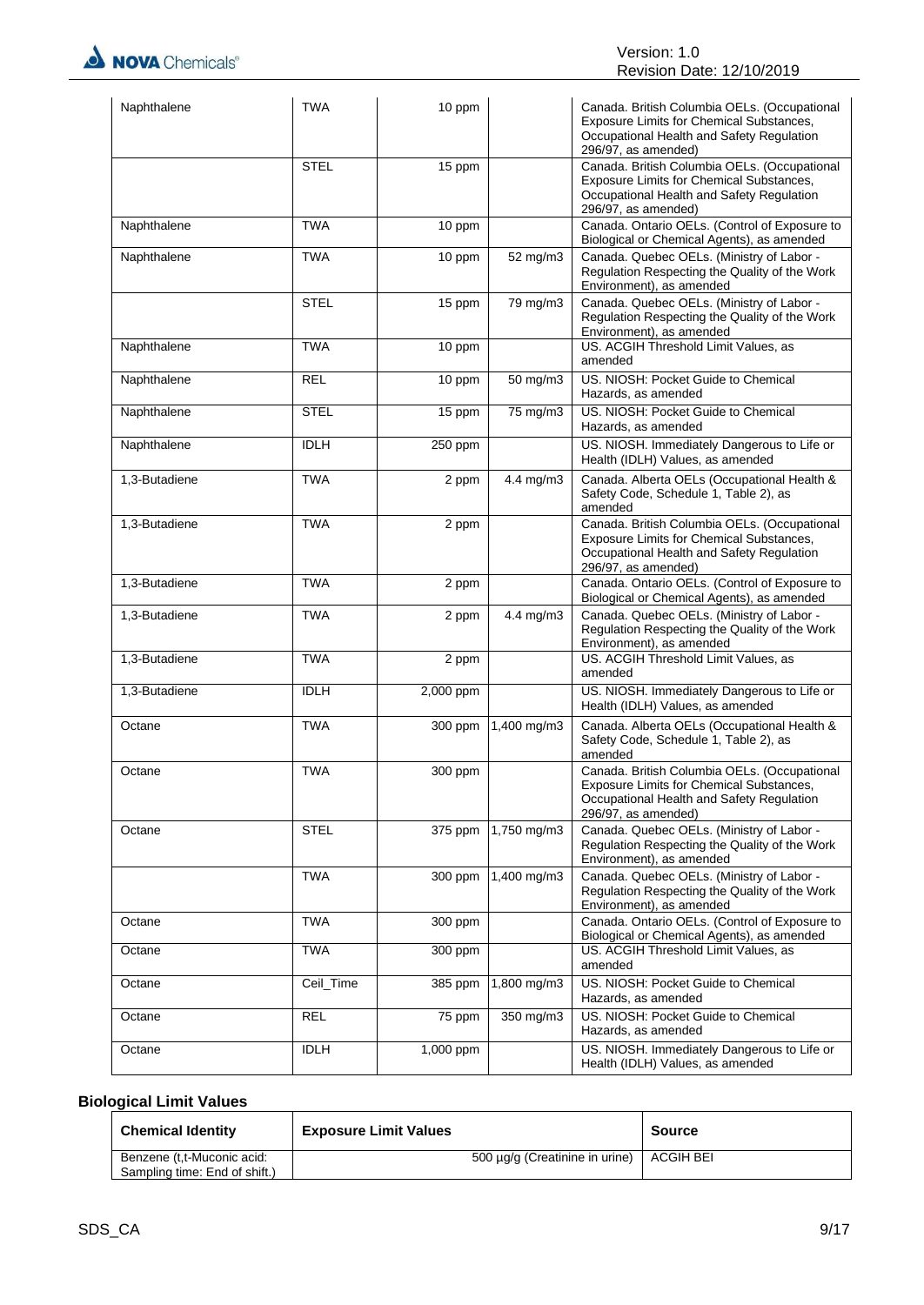| Naphthalene   | <b>TWA</b>  | 10 ppm    |                | Canada. British Columbia OELs. (Occupational<br>Exposure Limits for Chemical Substances,<br>Occupational Health and Safety Regulation<br>296/97, as amended)        |
|---------------|-------------|-----------|----------------|---------------------------------------------------------------------------------------------------------------------------------------------------------------------|
|               | <b>STEL</b> | 15 ppm    |                | Canada. British Columbia OELs. (Occupational<br>Exposure Limits for Chemical Substances,<br>Occupational Health and Safety Regulation<br>296/97, as amended)        |
| Naphthalene   | <b>TWA</b>  | 10 ppm    |                | Canada. Ontario OELs. (Control of Exposure to<br>Biological or Chemical Agents), as amended                                                                         |
| Naphthalene   | <b>TWA</b>  | 10 ppm    | 52 mg/m3       | Canada. Quebec OELs. (Ministry of Labor -<br>Regulation Respecting the Quality of the Work<br>Environment), as amended                                              |
|               | <b>STEL</b> | 15 ppm    | 79 mg/m3       | Canada. Quebec OELs. (Ministry of Labor -<br>Regulation Respecting the Quality of the Work<br>Environment), as amended                                              |
| Naphthalene   | <b>TWA</b>  | 10 ppm    |                | US. ACGIH Threshold Limit Values, as<br>amended                                                                                                                     |
| Naphthalene   | <b>REL</b>  | 10 ppm    | 50 mg/m3       | US. NIOSH: Pocket Guide to Chemical<br>Hazards, as amended                                                                                                          |
| Naphthalene   | <b>STEL</b> | 15 ppm    | 75 mg/m3       | US. NIOSH: Pocket Guide to Chemical<br>Hazards, as amended                                                                                                          |
| Naphthalene   | <b>IDLH</b> | 250 ppm   |                | US. NIOSH. Immediately Dangerous to Life or<br>Health (IDLH) Values, as amended                                                                                     |
| 1,3-Butadiene | <b>TWA</b>  | 2 ppm     | 4.4 mg/m $3$   | Canada. Alberta OELs (Occupational Health &<br>Safety Code, Schedule 1, Table 2), as<br>amended                                                                     |
| 1,3-Butadiene | <b>TWA</b>  | 2 ppm     |                | Canada. British Columbia OELs. (Occupational<br><b>Exposure Limits for Chemical Substances,</b><br>Occupational Health and Safety Regulation<br>296/97, as amended) |
| 1,3-Butadiene | <b>TWA</b>  | 2 ppm     |                | Canada. Ontario OELs. (Control of Exposure to<br>Biological or Chemical Agents), as amended                                                                         |
| 1,3-Butadiene | <b>TWA</b>  | 2 ppm     | 4.4 mg/m3      | Canada. Quebec OELs. (Ministry of Labor -<br>Regulation Respecting the Quality of the Work<br>Environment), as amended                                              |
| 1,3-Butadiene | <b>TWA</b>  | 2 ppm     |                | US. ACGIH Threshold Limit Values, as<br>amended                                                                                                                     |
| 1,3-Butadiene | <b>IDLH</b> | 2,000 ppm |                | US. NIOSH. Immediately Dangerous to Life or<br>Health (IDLH) Values, as amended                                                                                     |
| Octane        | <b>TWA</b>  | 300 ppm   | 1,400 mg/m3    | Canada. Alberta OELs (Occupational Health &<br>Safety Code, Schedule 1, Table 2), as<br>amended                                                                     |
| Octane        | <b>TWA</b>  | 300 ppm   |                | Canada. British Columbia OELs. (Occupational<br>Exposure Limits for Chemical Substances,<br>Occupational Health and Safety Regulation<br>296/97, as amended)        |
| Octane        | <b>STEL</b> | 375 ppm   | 1,750 mg/m3    | Canada. Quebec OELs. (Ministry of Labor -<br>Regulation Respecting the Quality of the Work<br>Environment), as amended                                              |
|               | <b>TWA</b>  | 300 ppm   | 1,400 mg/m3    | Canada. Quebec OELs. (Ministry of Labor -<br>Regulation Respecting the Quality of the Work<br>Environment), as amended                                              |
| Octane        | <b>TWA</b>  | 300 ppm   |                | Canada. Ontario OELs. (Control of Exposure to<br>Biological or Chemical Agents), as amended                                                                         |
| Octane        | <b>TWA</b>  | 300 ppm   |                | US. ACGIH Threshold Limit Values, as<br>amended                                                                                                                     |
| Octane        | Ceil_Time   | 385 ppm   | 1,800 mg/m3    | US. NIOSH: Pocket Guide to Chemical<br>Hazards, as amended                                                                                                          |
| Octane        | <b>REL</b>  | 75 ppm    | $350$ mg/m $3$ | US. NIOSH: Pocket Guide to Chemical<br>Hazards, as amended                                                                                                          |
| Octane        | <b>IDLH</b> | 1,000 ppm |                | US. NIOSH. Immediately Dangerous to Life or<br>Health (IDLH) Values, as amended                                                                                     |

# **Biological Limit Values**

| <b>Chemical Identity</b>                                    | <b>Exposure Limit Values</b>               | Source |
|-------------------------------------------------------------|--------------------------------------------|--------|
| Benzene (t,t-Muconic acid:<br>Sampling time: End of shift.) | 500 µg/g (Creatinine in urine)   ACGIH BEI |        |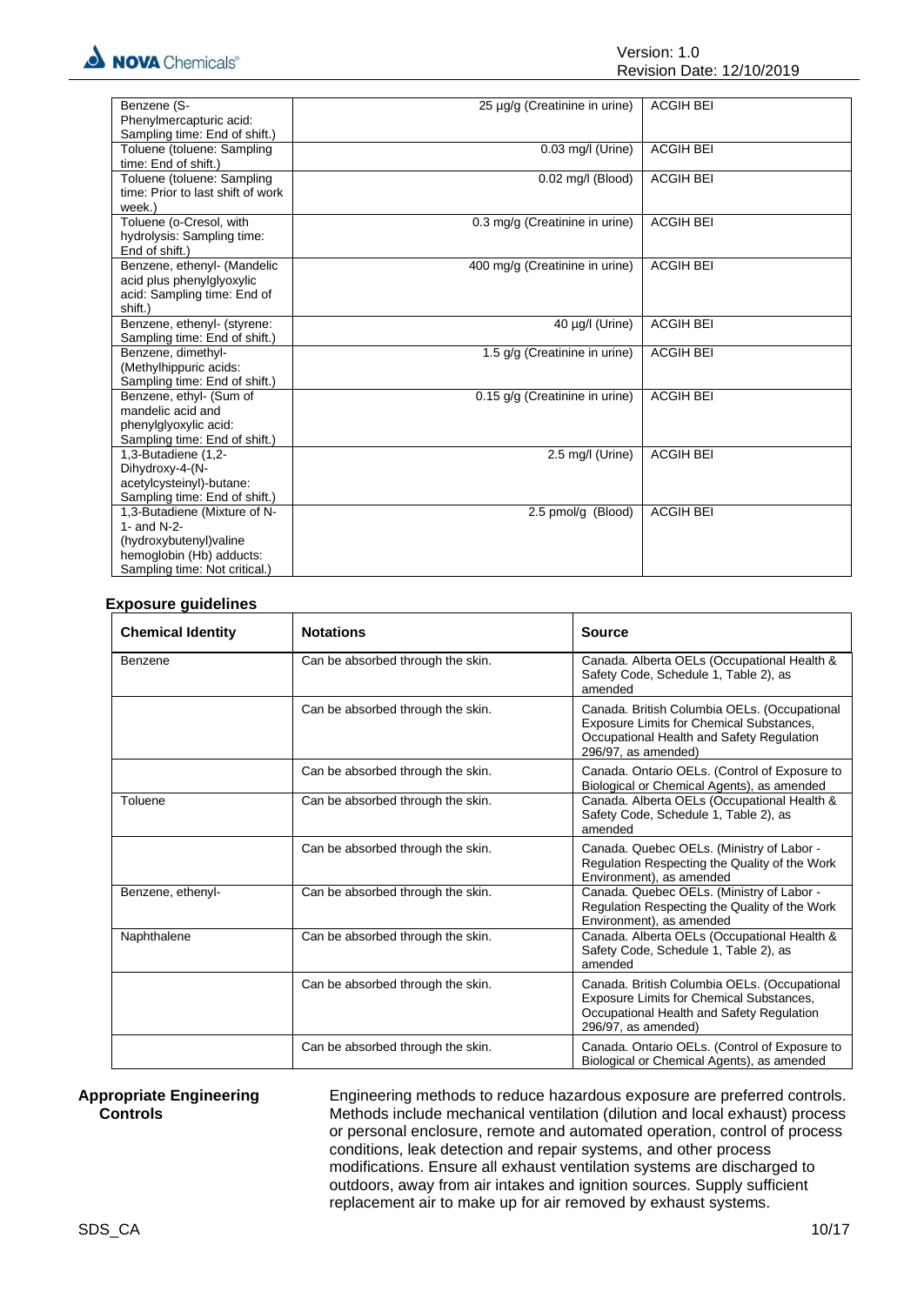| Benzene (S-<br><b>ACGIH BEI</b><br>25 µg/g (Creatinine in urine)                  |  |
|-----------------------------------------------------------------------------------|--|
| Phenylmercapturic acid:                                                           |  |
| Sampling time: End of shift.)                                                     |  |
| <b>ACGIH BEI</b><br>Toluene (toluene: Sampling<br>$0.03$ mg/l (Urine)             |  |
| time: End of shift.)                                                              |  |
| Toluene (toluene: Sampling<br>0.02 mg/l (Blood)<br><b>ACGIH BEI</b>               |  |
| time: Prior to last shift of work                                                 |  |
| week.)                                                                            |  |
| <b>ACGIH BEI</b><br>Toluene (o-Cresol, with<br>0.3 mg/g (Creatinine in urine)     |  |
| hydrolysis: Sampling time:                                                        |  |
| End of shift.)                                                                    |  |
| <b>ACGIH BEI</b><br>Benzene, ethenyl- (Mandelic<br>400 mg/g (Creatinine in urine) |  |
| acid plus phenylglyoxylic                                                         |  |
| acid: Sampling time: End of                                                       |  |
| shift.)                                                                           |  |
| Benzene, ethenyl- (styrene:<br>40 µg/l (Urine)<br><b>ACGIH BEI</b>                |  |
| Sampling time: End of shift.)                                                     |  |
| <b>ACGIH BEI</b><br>Benzene, dimethyl-<br>1.5 g/g (Creatinine in urine)           |  |
| (Methylhippuric acids:                                                            |  |
| Sampling time: End of shift.)                                                     |  |
| <b>ACGIH BEI</b><br>Benzene, ethyl- (Sum of<br>0.15 g/g (Creatinine in urine)     |  |
| mandelic acid and                                                                 |  |
| phenylglyoxylic acid:                                                             |  |
| Sampling time: End of shift.)                                                     |  |
| 2.5 mg/l (Urine)<br>1,3-Butadiene (1,2-<br><b>ACGIH BEI</b>                       |  |
| Dihydroxy-4-(N-                                                                   |  |
| acetylcysteinyl)-butane:                                                          |  |
| Sampling time: End of shift.)                                                     |  |
| <b>ACGIH BEI</b><br>1,3-Butadiene (Mixture of N-<br>2.5 pmol/g (Blood)            |  |
| 1- and $N-2-$                                                                     |  |
| (hydroxybutenyl) valine                                                           |  |
| hemoglobin (Hb) adducts:                                                          |  |
| Sampling time: Not critical.)                                                     |  |

### **Exposure guidelines**

| <b>Chemical Identity</b> | <b>Notations</b>                  | <b>Source</b>                                                                                                                                                |
|--------------------------|-----------------------------------|--------------------------------------------------------------------------------------------------------------------------------------------------------------|
| Benzene                  | Can be absorbed through the skin. | Canada. Alberta OELs (Occupational Health &<br>Safety Code, Schedule 1, Table 2), as<br>amended                                                              |
|                          | Can be absorbed through the skin. | Canada. British Columbia OELs. (Occupational<br>Exposure Limits for Chemical Substances,<br>Occupational Health and Safety Regulation<br>296/97, as amended) |
|                          | Can be absorbed through the skin. | Canada. Ontario OELs. (Control of Exposure to<br>Biological or Chemical Agents), as amended                                                                  |
| Toluene                  | Can be absorbed through the skin. | Canada. Alberta OELs (Occupational Health &<br>Safety Code, Schedule 1, Table 2), as<br>amended                                                              |
|                          | Can be absorbed through the skin. | Canada. Quebec OELs. (Ministry of Labor -<br>Regulation Respecting the Quality of the Work<br>Environment), as amended                                       |
| Benzene, ethenyl-        | Can be absorbed through the skin. | Canada. Quebec OELs. (Ministry of Labor -<br>Regulation Respecting the Quality of the Work<br>Environment), as amended                                       |
| Naphthalene              | Can be absorbed through the skin. | Canada. Alberta OELs (Occupational Health &<br>Safety Code, Schedule 1, Table 2), as<br>amended                                                              |
|                          | Can be absorbed through the skin. | Canada. British Columbia OELs. (Occupational<br>Exposure Limits for Chemical Substances,<br>Occupational Health and Safety Regulation<br>296/97, as amended) |
|                          | Can be absorbed through the skin. | Canada. Ontario OELs. (Control of Exposure to<br>Biological or Chemical Agents), as amended                                                                  |

#### **Appropriate Engineering Controls**

Engineering methods to reduce hazardous exposure are preferred controls. Methods include mechanical ventilation (dilution and local exhaust) process or personal enclosure, remote and automated operation, control of process conditions, leak detection and repair systems, and other process modifications. Ensure all exhaust ventilation systems are discharged to outdoors, away from air intakes and ignition sources. Supply sufficient replacement air to make up for air removed by exhaust systems.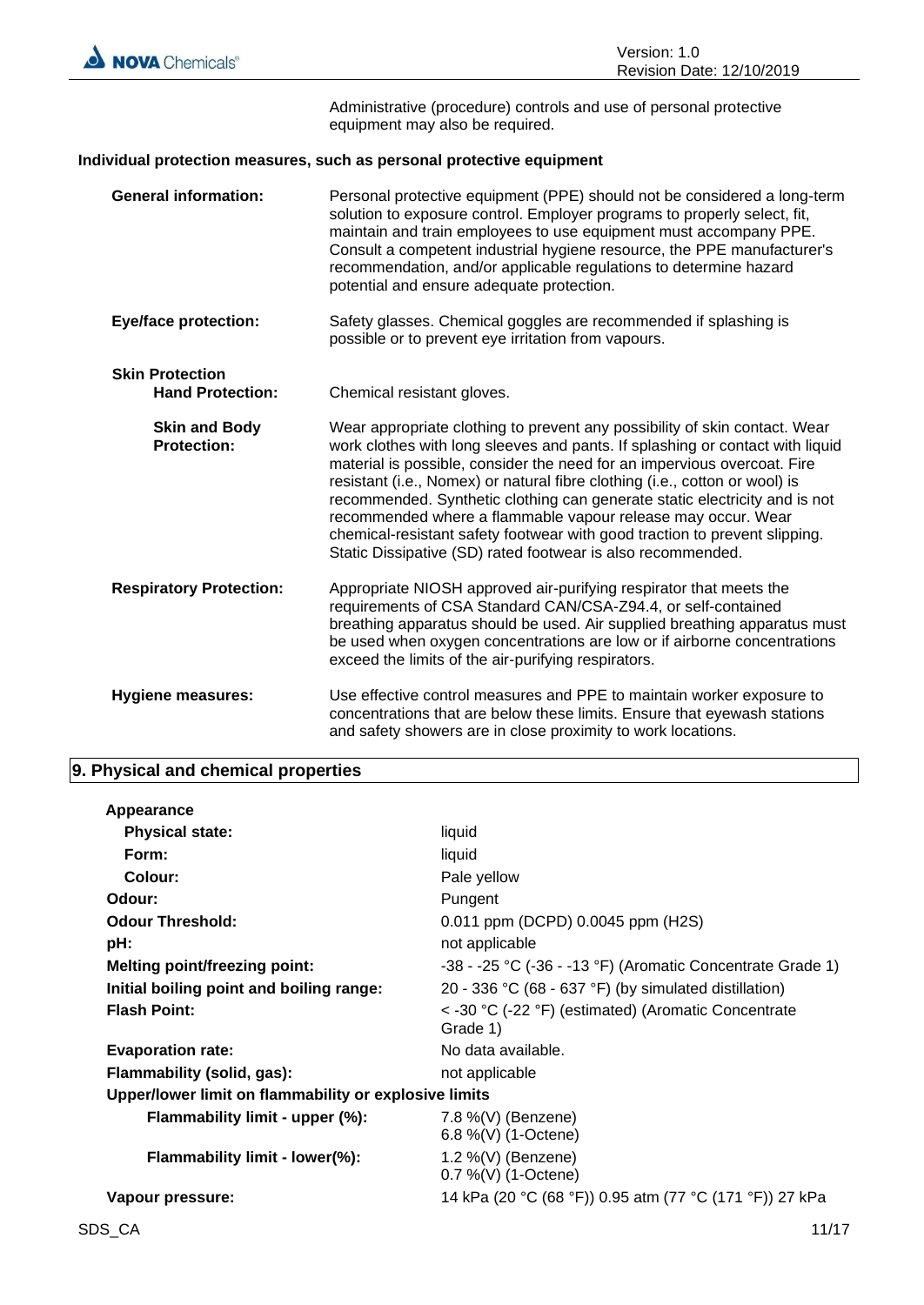

Administrative (procedure) controls and use of personal protective equipment may also be required.

### **Individual protection measures, such as personal protective equipment**

|                        | <b>General information:</b>                | Personal protective equipment (PPE) should not be considered a long-term<br>solution to exposure control. Employer programs to properly select, fit,<br>maintain and train employees to use equipment must accompany PPE.<br>Consult a competent industrial hygiene resource, the PPE manufacturer's<br>recommendation, and/or applicable regulations to determine hazard<br>potential and ensure adequate protection.                                                                                                                                                                                            |
|------------------------|--------------------------------------------|-------------------------------------------------------------------------------------------------------------------------------------------------------------------------------------------------------------------------------------------------------------------------------------------------------------------------------------------------------------------------------------------------------------------------------------------------------------------------------------------------------------------------------------------------------------------------------------------------------------------|
|                        | <b>Eye/face protection:</b>                | Safety glasses. Chemical goggles are recommended if splashing is<br>possible or to prevent eye irritation from vapours.                                                                                                                                                                                                                                                                                                                                                                                                                                                                                           |
| <b>Skin Protection</b> | <b>Hand Protection:</b>                    | Chemical resistant gloves.                                                                                                                                                                                                                                                                                                                                                                                                                                                                                                                                                                                        |
|                        | <b>Skin and Body</b><br><b>Protection:</b> | Wear appropriate clothing to prevent any possibility of skin contact. Wear<br>work clothes with long sleeves and pants. If splashing or contact with liquid<br>material is possible, consider the need for an impervious overcoat. Fire<br>resistant (i.e., Nomex) or natural fibre clothing (i.e., cotton or wool) is<br>recommended. Synthetic clothing can generate static electricity and is not<br>recommended where a flammable vapour release may occur. Wear<br>chemical-resistant safety footwear with good traction to prevent slipping.<br>Static Dissipative (SD) rated footwear is also recommended. |
|                        | <b>Respiratory Protection:</b>             | Appropriate NIOSH approved air-purifying respirator that meets the<br>requirements of CSA Standard CAN/CSA-Z94.4, or self-contained<br>breathing apparatus should be used. Air supplied breathing apparatus must<br>be used when oxygen concentrations are low or if airborne concentrations<br>exceed the limits of the air-purifying respirators.                                                                                                                                                                                                                                                               |
|                        | <b>Hygiene measures:</b>                   | Use effective control measures and PPE to maintain worker exposure to<br>concentrations that are below these limits. Ensure that eyewash stations<br>and safety showers are in close proximity to work locations.                                                                                                                                                                                                                                                                                                                                                                                                 |

# **9. Physical and chemical properties**

| Appearance                                            |                                                                 |
|-------------------------------------------------------|-----------------------------------------------------------------|
| <b>Physical state:</b>                                | liquid                                                          |
| Form:                                                 | liquid                                                          |
| Colour:                                               | Pale yellow                                                     |
| Odour:                                                | Pungent                                                         |
| <b>Odour Threshold:</b>                               | 0.011 ppm (DCPD) 0.0045 ppm (H2S)                               |
| pH:                                                   | not applicable                                                  |
| <b>Melting point/freezing point:</b>                  | $-38 - 25$ °C ( $-36 - 13$ °F) (Aromatic Concentrate Grade 1)   |
| Initial boiling point and boiling range:              | 20 - 336 °C (68 - 637 °F) (by simulated distillation)           |
| <b>Flash Point:</b>                                   | < -30 °C (-22 °F) (estimated) (Aromatic Concentrate<br>Grade 1) |
| <b>Evaporation rate:</b>                              | No data available.                                              |
| Flammability (solid, gas):                            | not applicable                                                  |
| Upper/lower limit on flammability or explosive limits |                                                                 |
| Flammability limit - upper (%):                       | 7.8 %(V) (Benzene)<br>6.8 %(V) (1-Octene)                       |
| Flammability limit - lower(%):                        | 1.2 %(V) (Benzene)<br>0.7 %(V) (1-Octene)                       |
| Vapour pressure:                                      | 14 kPa (20 °C (68 °F)) 0.95 atm (77 °C (171 °F)) 27 kPa         |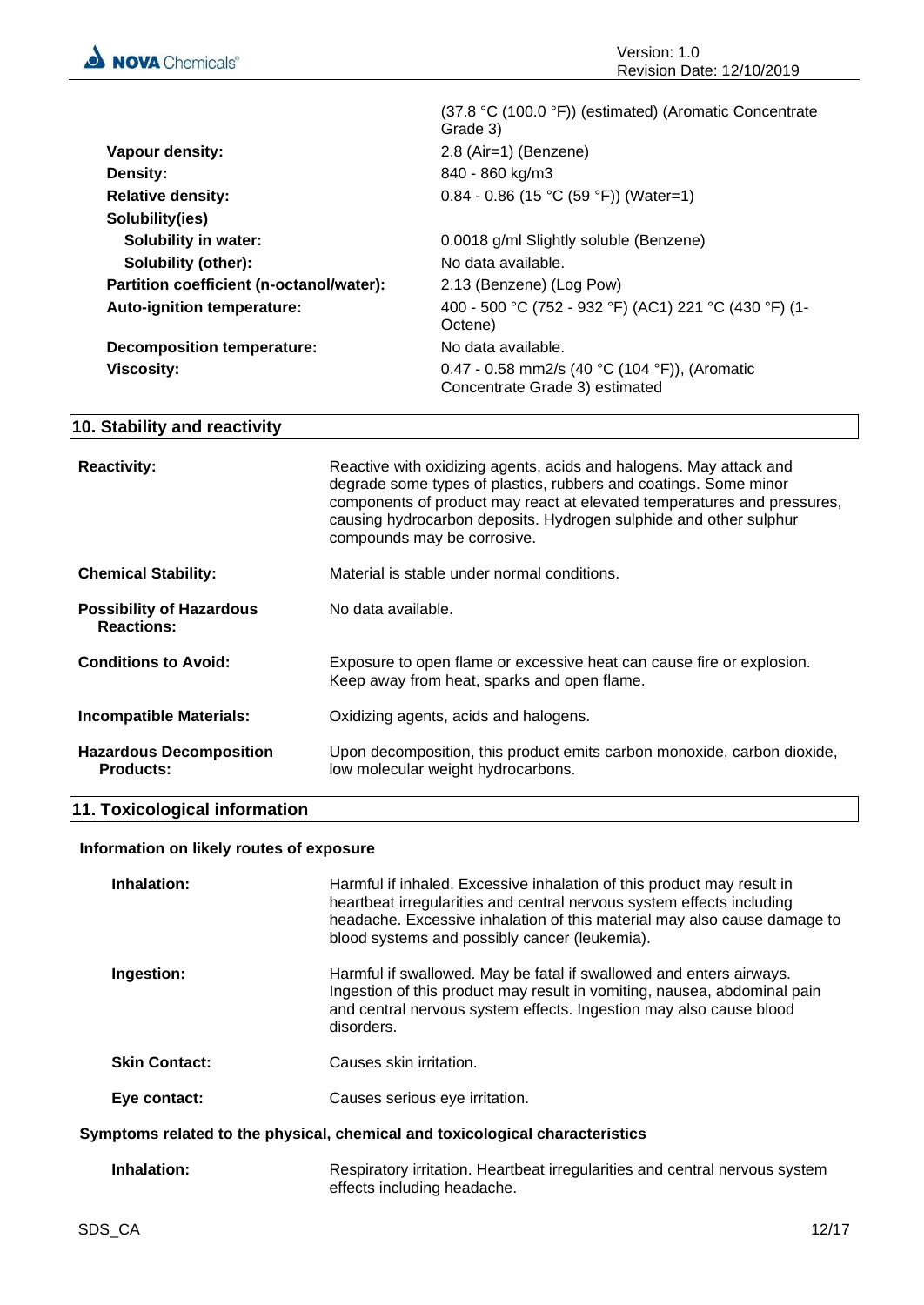

|                                          | (37.8 °C (100.0 °F)) (estimated) (Aromatic Concentrate<br>Grade 3)              |
|------------------------------------------|---------------------------------------------------------------------------------|
| Vapour density:                          | 2.8 (Air=1) (Benzene)                                                           |
| <b>Density:</b>                          | 840 - 860 kg/m3                                                                 |
| <b>Relative density:</b>                 | $0.84 - 0.86$ (15 °C (59 °F)) (Water=1)                                         |
| Solubility(ies)                          |                                                                                 |
| <b>Solubility in water:</b>              | 0.0018 g/ml Slightly soluble (Benzene)                                          |
| Solubility (other):                      | No data available.                                                              |
| Partition coefficient (n-octanol/water): | 2.13 (Benzene) (Log Pow)                                                        |
| Auto-ignition temperature:               | 400 - 500 °C (752 - 932 °F) (AC1) 221 °C (430 °F) (1-<br>Octene)                |
| <b>Decomposition temperature:</b>        | No data available.                                                              |
| <b>Viscosity:</b>                        | 0.47 - 0.58 mm2/s (40 °C (104 °F)), (Aromatic<br>Concentrate Grade 3) estimated |

# **10. Stability and reactivity**

| <b>Reactivity:</b>                                   | Reactive with oxidizing agents, acids and halogens. May attack and<br>degrade some types of plastics, rubbers and coatings. Some minor<br>components of product may react at elevated temperatures and pressures,<br>causing hydrocarbon deposits. Hydrogen sulphide and other sulphur<br>compounds may be corrosive. |
|------------------------------------------------------|-----------------------------------------------------------------------------------------------------------------------------------------------------------------------------------------------------------------------------------------------------------------------------------------------------------------------|
| <b>Chemical Stability:</b>                           | Material is stable under normal conditions.                                                                                                                                                                                                                                                                           |
| <b>Possibility of Hazardous</b><br><b>Reactions:</b> | No data available.                                                                                                                                                                                                                                                                                                    |
| <b>Conditions to Avoid:</b>                          | Exposure to open flame or excessive heat can cause fire or explosion.<br>Keep away from heat, sparks and open flame.                                                                                                                                                                                                  |
| <b>Incompatible Materials:</b>                       | Oxidizing agents, acids and halogens.                                                                                                                                                                                                                                                                                 |
| <b>Hazardous Decomposition</b><br><b>Products:</b>   | Upon decomposition, this product emits carbon monoxide, carbon dioxide,<br>low molecular weight hydrocarbons.                                                                                                                                                                                                         |

# **11. Toxicological information**

# **Information on likely routes of exposure**

| Inhalation:          | Harmful if inhaled. Excessive inhalation of this product may result in<br>heartbeat irregularities and central nervous system effects including<br>headache. Excessive inhalation of this material may also cause damage to<br>blood systems and possibly cancer (leukemia). |
|----------------------|------------------------------------------------------------------------------------------------------------------------------------------------------------------------------------------------------------------------------------------------------------------------------|
| Ingestion:           | Harmful if swallowed. May be fatal if swallowed and enters airways.<br>Ingestion of this product may result in vomiting, nausea, abdominal pain<br>and central nervous system effects. Ingestion may also cause blood<br>disorders.                                          |
| <b>Skin Contact:</b> | Causes skin irritation.                                                                                                                                                                                                                                                      |
| Eye contact:         | Causes serious eye irritation.                                                                                                                                                                                                                                               |
|                      | Symptoms related to the physical, chemical and toxicological characteristics                                                                                                                                                                                                 |
|                      |                                                                                                                                                                                                                                                                              |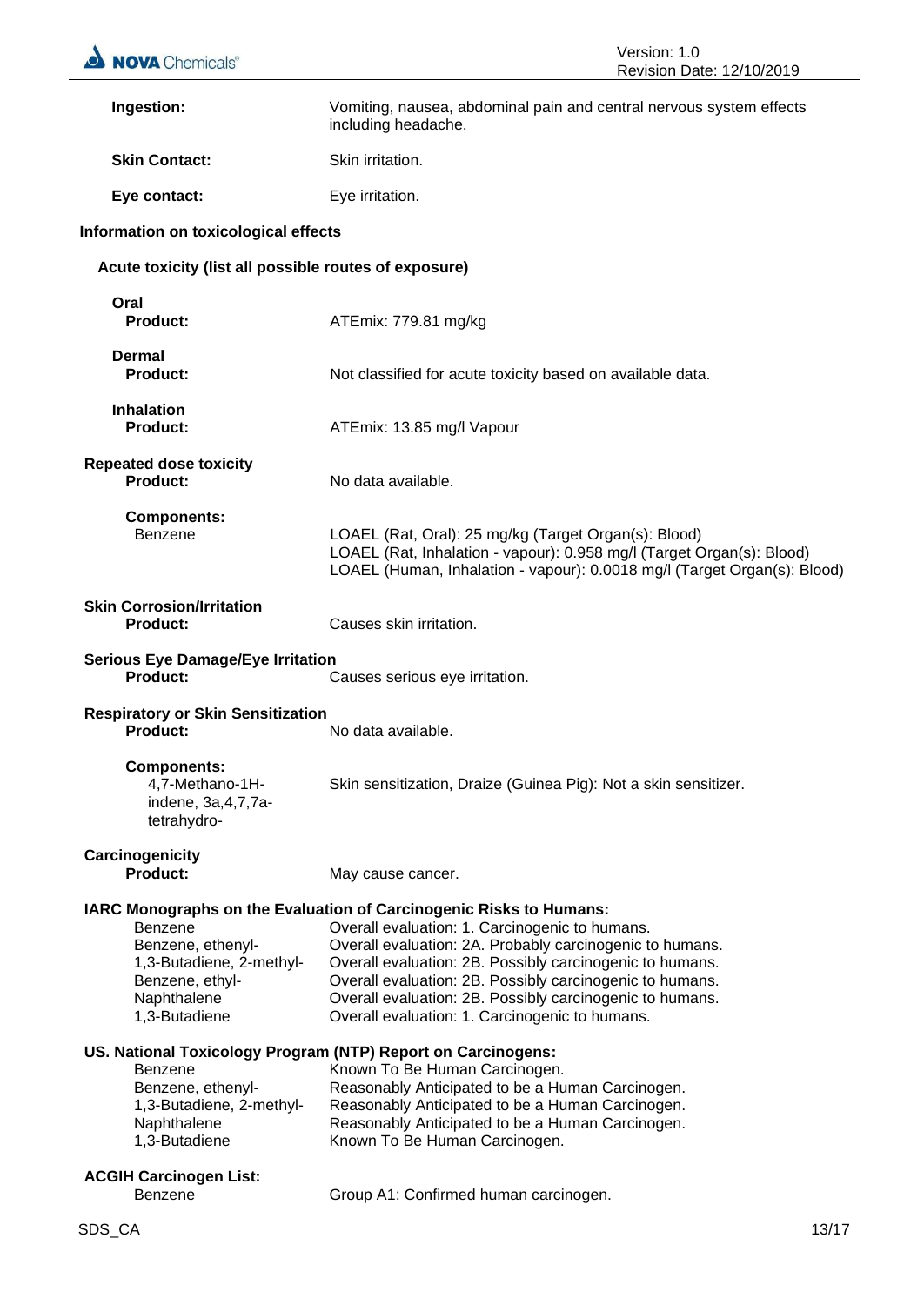| <b>NOVA</b> Chemicals®                                                                                      | Version: 1.0<br>Revision Date: 12/10/2019                                                                                                                                                                                                                                                                                                                                                                              |
|-------------------------------------------------------------------------------------------------------------|------------------------------------------------------------------------------------------------------------------------------------------------------------------------------------------------------------------------------------------------------------------------------------------------------------------------------------------------------------------------------------------------------------------------|
| Ingestion:                                                                                                  | Vomiting, nausea, abdominal pain and central nervous system effects<br>including headache.                                                                                                                                                                                                                                                                                                                             |
| <b>Skin Contact:</b>                                                                                        | Skin irritation.                                                                                                                                                                                                                                                                                                                                                                                                       |
| Eye contact:                                                                                                | Eye irritation.                                                                                                                                                                                                                                                                                                                                                                                                        |
| Information on toxicological effects                                                                        |                                                                                                                                                                                                                                                                                                                                                                                                                        |
| Acute toxicity (list all possible routes of exposure)                                                       |                                                                                                                                                                                                                                                                                                                                                                                                                        |
| Oral<br><b>Product:</b>                                                                                     | ATEmix: 779.81 mg/kg                                                                                                                                                                                                                                                                                                                                                                                                   |
| Dermal<br><b>Product:</b>                                                                                   | Not classified for acute toxicity based on available data.                                                                                                                                                                                                                                                                                                                                                             |
| <b>Inhalation</b><br><b>Product:</b>                                                                        | ATEmix: 13.85 mg/l Vapour                                                                                                                                                                                                                                                                                                                                                                                              |
| <b>Repeated dose toxicity</b><br><b>Product:</b>                                                            | No data available.                                                                                                                                                                                                                                                                                                                                                                                                     |
| <b>Components:</b><br>Benzene                                                                               | LOAEL (Rat, Oral): 25 mg/kg (Target Organ(s): Blood)<br>LOAEL (Rat, Inhalation - vapour): 0.958 mg/l (Target Organ(s): Blood)<br>LOAEL (Human, Inhalation - vapour): 0.0018 mg/l (Target Organ(s): Blood)                                                                                                                                                                                                              |
| <b>Skin Corrosion/Irritation</b><br><b>Product:</b>                                                         | Causes skin irritation.                                                                                                                                                                                                                                                                                                                                                                                                |
| <b>Serious Eye Damage/Eye Irritation</b><br><b>Product:</b>                                                 | Causes serious eye irritation.                                                                                                                                                                                                                                                                                                                                                                                         |
| <b>Respiratory or Skin Sensitization</b><br>Product:                                                        | No data available                                                                                                                                                                                                                                                                                                                                                                                                      |
| <b>Components:</b><br>4,7-Methano-1H-<br>indene, 3a, 4, 7, 7a-<br>tetrahydro-                               | Skin sensitization, Draize (Guinea Pig): Not a skin sensitizer.                                                                                                                                                                                                                                                                                                                                                        |
| Carcinogenicity<br><b>Product:</b>                                                                          | May cause cancer.                                                                                                                                                                                                                                                                                                                                                                                                      |
| Benzene<br>Benzene, ethenyl-<br>1,3-Butadiene, 2-methyl-<br>Benzene, ethyl-<br>Naphthalene<br>1,3-Butadiene | IARC Monographs on the Evaluation of Carcinogenic Risks to Humans:<br>Overall evaluation: 1. Carcinogenic to humans.<br>Overall evaluation: 2A. Probably carcinogenic to humans.<br>Overall evaluation: 2B. Possibly carcinogenic to humans.<br>Overall evaluation: 2B. Possibly carcinogenic to humans.<br>Overall evaluation: 2B. Possibly carcinogenic to humans.<br>Overall evaluation: 1. Carcinogenic to humans. |
| <b>Benzene</b><br>Benzene, ethenyl-<br>1,3-Butadiene, 2-methyl-<br>Naphthalene<br>1,3-Butadiene             | US. National Toxicology Program (NTP) Report on Carcinogens:<br>Known To Be Human Carcinogen.<br>Reasonably Anticipated to be a Human Carcinogen.<br>Reasonably Anticipated to be a Human Carcinogen.<br>Reasonably Anticipated to be a Human Carcinogen.<br>Known To Be Human Carcinogen.                                                                                                                             |
| <b>ACGIH Carcinogen List:</b><br>Benzene                                                                    | Group A1: Confirmed human carcinogen.                                                                                                                                                                                                                                                                                                                                                                                  |
| SDS_CA                                                                                                      | 13/17                                                                                                                                                                                                                                                                                                                                                                                                                  |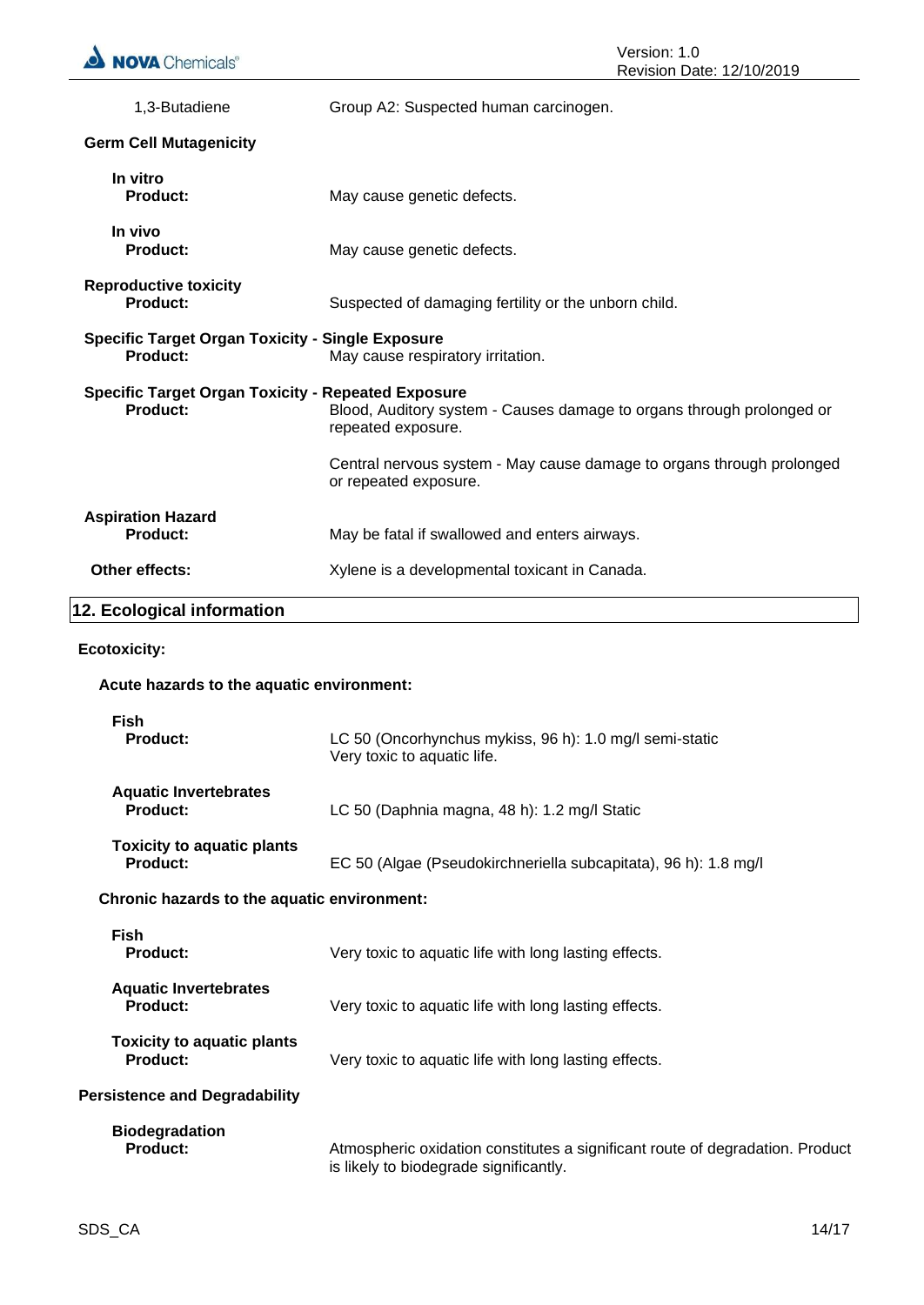| 1,3-Butadiene                                                                                                                                                        | Group A2: Suspected human carcinogen.                                                          |  |
|----------------------------------------------------------------------------------------------------------------------------------------------------------------------|------------------------------------------------------------------------------------------------|--|
| <b>Germ Cell Mutagenicity</b>                                                                                                                                        |                                                                                                |  |
| In vitro<br>Product:                                                                                                                                                 | May cause genetic defects.                                                                     |  |
| In vivo<br>Product:                                                                                                                                                  | May cause genetic defects.                                                                     |  |
| <b>Reproductive toxicity</b><br>Product:                                                                                                                             | Suspected of damaging fertility or the unborn child.                                           |  |
| <b>Specific Target Organ Toxicity - Single Exposure</b><br>Product:                                                                                                  | May cause respiratory irritation.                                                              |  |
| <b>Specific Target Organ Toxicity - Repeated Exposure</b><br>Product:<br>Blood, Auditory system - Causes damage to organs through prolonged or<br>repeated exposure. |                                                                                                |  |
|                                                                                                                                                                      | Central nervous system - May cause damage to organs through prolonged<br>or repeated exposure. |  |
| <b>Aspiration Hazard</b><br>Product:                                                                                                                                 | May be fatal if swallowed and enters airways.                                                  |  |
| Other effects:                                                                                                                                                       | Xylene is a developmental toxicant in Canada.                                                  |  |
| 12. Ecological information                                                                                                                                           |                                                                                                |  |
|                                                                                                                                                                      |                                                                                                |  |

# **Ecotoxicity:**

### **Acute hazards to the aquatic environment:**

| <b>Fish</b><br><b>Product:</b>                       | LC 50 (Oncorhynchus mykiss, 96 h): 1.0 mg/l semi-static<br>Very toxic to aquatic life.                                  |
|------------------------------------------------------|-------------------------------------------------------------------------------------------------------------------------|
| <b>Aquatic Invertebrates</b><br>Product:             | LC 50 (Daphnia magna, 48 h): 1.2 mg/l Static                                                                            |
| <b>Toxicity to aquatic plants</b><br><b>Product:</b> | EC 50 (Algae (Pseudokirchneriella subcapitata), 96 h): 1.8 mg/l                                                         |
| Chronic hazards to the aquatic environment:          |                                                                                                                         |
| <b>Fish</b><br><b>Product:</b>                       | Very toxic to aquatic life with long lasting effects.                                                                   |
| <b>Aquatic Invertebrates</b><br>Product:             | Very toxic to aquatic life with long lasting effects.                                                                   |
| <b>Toxicity to aquatic plants</b><br>Product:        | Very toxic to aquatic life with long lasting effects.                                                                   |
| <b>Persistence and Degradability</b>                 |                                                                                                                         |
| <b>Biodegradation</b><br><b>Product:</b>             | Atmospheric oxidation constitutes a significant route of degradation. Product<br>is likely to biodegrade significantly. |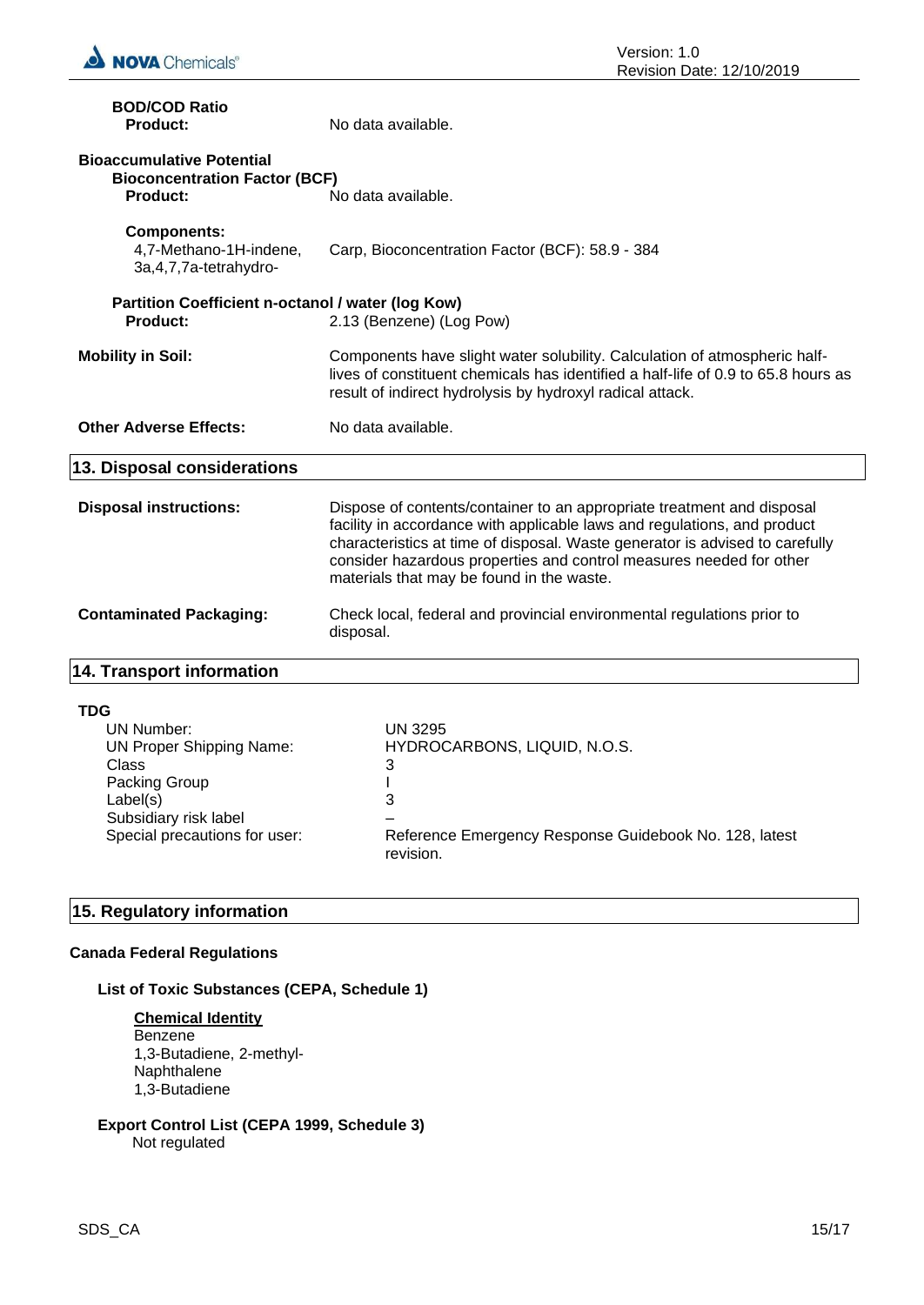

| <b>BOD/COD Ratio</b><br><b>Product:</b>                                                             | No data available.                                                                                                                                                                                                                                                                                                                                     |
|-----------------------------------------------------------------------------------------------------|--------------------------------------------------------------------------------------------------------------------------------------------------------------------------------------------------------------------------------------------------------------------------------------------------------------------------------------------------------|
| <b>Bioaccumulative Potential</b><br><b>Bioconcentration Factor (BCF)</b><br><b>Product:</b>         | No data available.                                                                                                                                                                                                                                                                                                                                     |
| <b>Components:</b><br>4,7-Methano-1H-indene,<br>3a, 4, 7, 7a-tetrahydro-                            | Carp, Bioconcentration Factor (BCF): 58.9 - 384                                                                                                                                                                                                                                                                                                        |
| Partition Coefficient n-octanol / water (log Kow)<br><b>Product:</b>                                | 2.13 (Benzene) (Log Pow)                                                                                                                                                                                                                                                                                                                               |
| <b>Mobility in Soil:</b>                                                                            | Components have slight water solubility. Calculation of atmospheric half-<br>lives of constituent chemicals has identified a half-life of 0.9 to 65.8 hours as<br>result of indirect hydrolysis by hydroxyl radical attack.                                                                                                                            |
| <b>Other Adverse Effects:</b>                                                                       | No data available.                                                                                                                                                                                                                                                                                                                                     |
| 13. Disposal considerations                                                                         |                                                                                                                                                                                                                                                                                                                                                        |
| <b>Disposal instructions:</b>                                                                       | Dispose of contents/container to an appropriate treatment and disposal<br>facility in accordance with applicable laws and regulations, and product<br>characteristics at time of disposal. Waste generator is advised to carefully<br>consider hazardous properties and control measures needed for other<br>materials that may be found in the waste. |
| <b>Contaminated Packaging:</b>                                                                      | Check local, federal and provincial environmental regulations prior to<br>disposal.                                                                                                                                                                                                                                                                    |
| <b>14. Transport information</b>                                                                    |                                                                                                                                                                                                                                                                                                                                                        |
| <b>TDG</b><br><b>UN Number:</b><br><b>UN Proper Shipping Name:</b><br><b>Class</b><br>Dooking Croup | <b>UN 3295</b><br>HYDROCARBONS, LIQUID, N.O.S.<br>3<br>I.                                                                                                                                                                                                                                                                                              |

Packing Group 1 and 1 and 1 and 1 and 1 and 1 and 1 and 1 and 1 and 1 and 1 and 1 and 1 and 1 and 1 and 1 and 1 and 1 and 1 and 1 and 1 and 1 and 1 and 1 and 1 and 1 and 1 and 1 and 1 and 1 and 1 and 1 and 1 and 1 and 1 an Subsidiary risk label – Special precautions for user: Reference Emergency Response Guidebook No. 128, latest revision.

# **15. Regulatory information**

Label(s)

# **Canada Federal Regulations**

# **List of Toxic Substances (CEPA, Schedule 1)**

**Chemical Identity** Benzene 1,3-Butadiene, 2-methyl-Naphthalene 1,3-Butadiene

# **Export Control List (CEPA 1999, Schedule 3)** Not regulated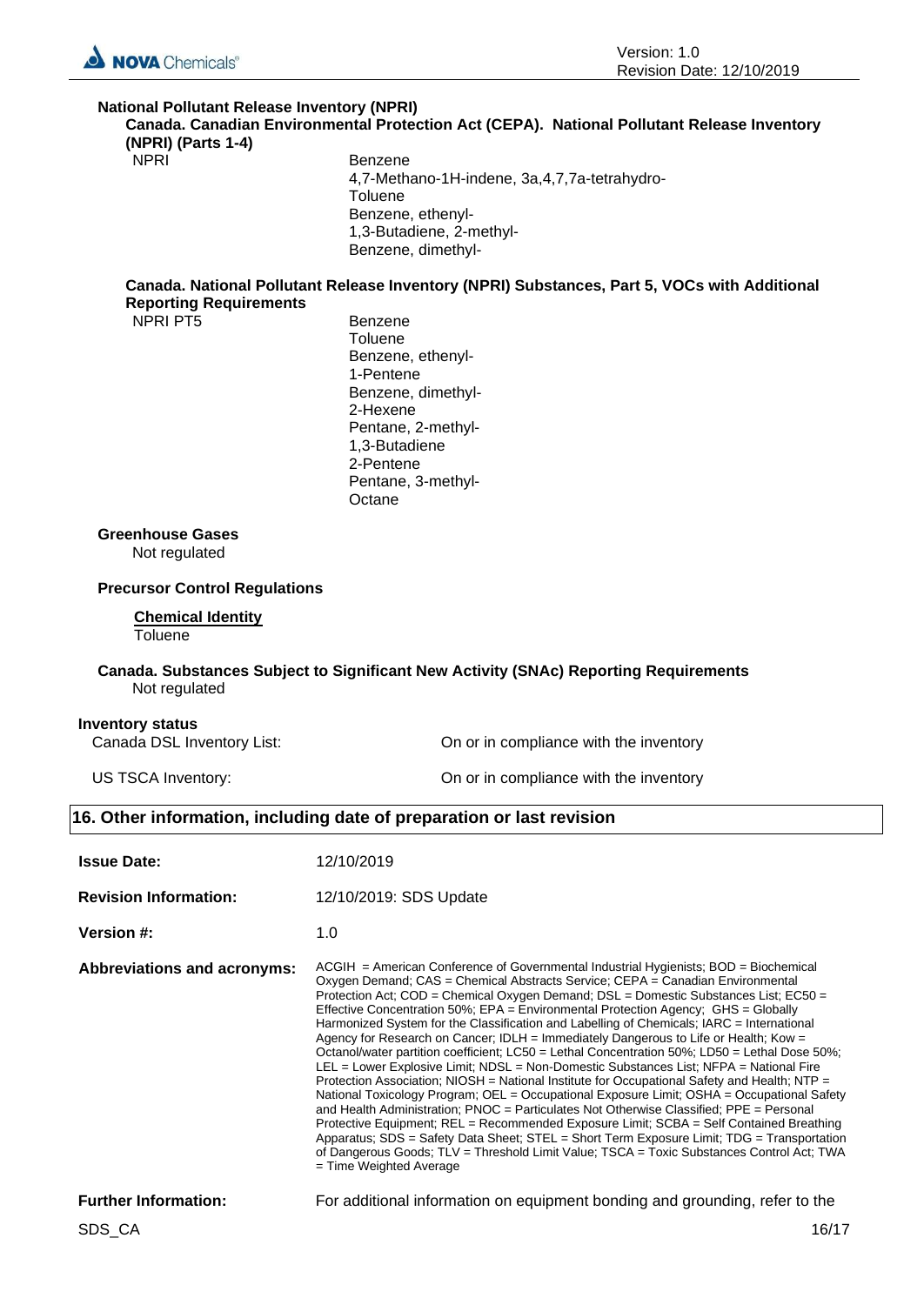

# **National Pollutant Release Inventory (NPRI) Canada. Canadian Environmental Protection Act (CEPA). National Pollutant Release Inventory**

**(NPRI) (Parts 1-4)**

### NPRI Benzene 4,7-Methano-1H-indene, 3a,4,7,7a-tetrahydro-**Toluene** Benzene, ethenyl-1,3-Butadiene, 2-methyl-Benzene, dimethyl-

### **Canada. National Pollutant Release Inventory (NPRI) Substances, Part 5, VOCs with Additional Reporting Requirements**

NPRI PT5 Benzene

**Toluene** Benzene, ethenyl-1-Pentene Benzene, dimethyl-2-Hexene Pentane, 2-methyl-1,3-Butadiene 2-Pentene Pentane, 3-methyl-**Octane** 

### **Greenhouse Gases**

Not regulated

# **Precursor Control Regulations**

#### **Chemical Identity Toluene**

### **Canada. Substances Subject to Significant New Activity (SNAc) Reporting Requirements** Not regulated

### **Inventory status**

Canada DSL Inventory List: On or in compliance with the inventory

US TSCA Inventory: On or in compliance with the inventory

# **16. Other information, including date of preparation or last revision**

| <b>Issue Date:</b>           | 12/10/2019                                                                                                                                                                                                                                                                                                                                                                                                                                                                                                                                                                                                                                                                                                                                                                                                                                                                                                                                                                                                                                                                                                                                                                                                                                                                                                                                          |
|------------------------------|-----------------------------------------------------------------------------------------------------------------------------------------------------------------------------------------------------------------------------------------------------------------------------------------------------------------------------------------------------------------------------------------------------------------------------------------------------------------------------------------------------------------------------------------------------------------------------------------------------------------------------------------------------------------------------------------------------------------------------------------------------------------------------------------------------------------------------------------------------------------------------------------------------------------------------------------------------------------------------------------------------------------------------------------------------------------------------------------------------------------------------------------------------------------------------------------------------------------------------------------------------------------------------------------------------------------------------------------------------|
| <b>Revision Information:</b> | 12/10/2019: SDS Update                                                                                                                                                                                                                                                                                                                                                                                                                                                                                                                                                                                                                                                                                                                                                                                                                                                                                                                                                                                                                                                                                                                                                                                                                                                                                                                              |
| <b>Version #:</b>            | 1.0                                                                                                                                                                                                                                                                                                                                                                                                                                                                                                                                                                                                                                                                                                                                                                                                                                                                                                                                                                                                                                                                                                                                                                                                                                                                                                                                                 |
| Abbreviations and acronyms:  | $ACGH$ = American Conference of Governmental Industrial Hygienists; $BOD$ = Biochemical<br>Oxygen Demand; CAS = Chemical Abstracts Service; CEPA = Canadian Environmental<br>Protection Act; COD = Chemical Oxygen Demand; DSL = Domestic Substances List; EC50 =<br>Effective Concentration 50%; EPA = Environmental Protection Agency; GHS = Globally<br>Harmonized System for the Classification and Labelling of Chemicals; IARC = International<br>Agency for Research on Cancer; IDLH = Immediately Dangerous to Life or Health; Kow =<br>Octanol/water partition coefficient; LC50 = Lethal Concentration 50%; LD50 = Lethal Dose 50%;<br>LEL = Lower Explosive Limit; NDSL = Non-Domestic Substances List; NFPA = National Fire<br>Protection Association; NIOSH = National Institute for Occupational Safety and Health; NTP =<br>National Toxicology Program; OEL = Occupational Exposure Limit; OSHA = Occupational Safety<br>and Health Administration; PNOC = Particulates Not Otherwise Classified; PPE = Personal<br>Protective Equipment; REL = Recommended Exposure Limit; SCBA = Self Contained Breathing<br>Apparatus; SDS = Safety Data Sheet; STEL = Short Term Exposure Limit; TDG = Transportation<br>of Dangerous Goods; TLV = Threshold Limit Value; TSCA = Toxic Substances Control Act; TWA<br>$=$ Time Weighted Average |
| <b>Further Information:</b>  | For additional information on equipment bonding and grounding, refer to the                                                                                                                                                                                                                                                                                                                                                                                                                                                                                                                                                                                                                                                                                                                                                                                                                                                                                                                                                                                                                                                                                                                                                                                                                                                                         |
| SDS CA                       | 16/17                                                                                                                                                                                                                                                                                                                                                                                                                                                                                                                                                                                                                                                                                                                                                                                                                                                                                                                                                                                                                                                                                                                                                                                                                                                                                                                                               |